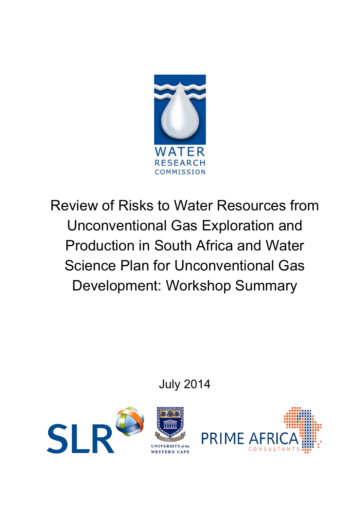

Review of Risks to Water Resources from Unconventional Gas Exploration and Production in South Africa and Water Science Plan for Unconventional Gas Development: Workshop Summary

July 2014



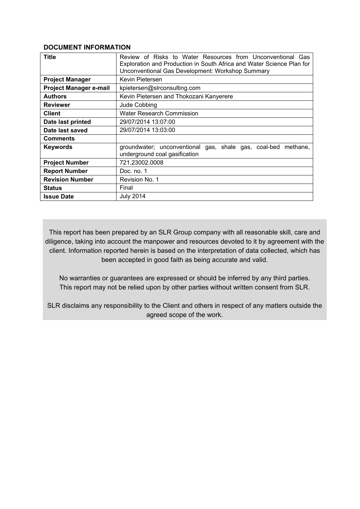#### **DOCUMENT INFORMATION**

| <b>Title</b>                  | Review of Risks to Water Resources from Unconventional Gas<br>Exploration and Production in South Africa and Water Science Plan for<br>Unconventional Gas Development: Workshop Summary |  |  |
|-------------------------------|-----------------------------------------------------------------------------------------------------------------------------------------------------------------------------------------|--|--|
| <b>Project Manager</b>        | Kevin Pietersen                                                                                                                                                                         |  |  |
| <b>Project Manager e-mail</b> | kpietersen@slrconsulting.com                                                                                                                                                            |  |  |
| <b>Authors</b>                | Kevin Pietersen and Thokozani Kanyerere                                                                                                                                                 |  |  |
| <b>Reviewer</b>               | Jude Cobbing                                                                                                                                                                            |  |  |
| <b>Client</b>                 | <b>Water Research Commission</b>                                                                                                                                                        |  |  |
| Date last printed             | 29/07/2014 13:07:00                                                                                                                                                                     |  |  |
| Date last saved               | 29/07/2014 13:03:00                                                                                                                                                                     |  |  |
| <b>Comments</b>               |                                                                                                                                                                                         |  |  |
| <b>Keywords</b>               | groundwater; unconventional gas, shale gas, coal-bed<br>methane.<br>underground coal gasification                                                                                       |  |  |
| <b>Project Number</b>         | 721.23002.0008                                                                                                                                                                          |  |  |
| <b>Report Number</b>          | Doc. no. 1                                                                                                                                                                              |  |  |
| <b>Revision Number</b>        | Revision No. 1                                                                                                                                                                          |  |  |
| <b>Status</b>                 | Final                                                                                                                                                                                   |  |  |
| <b>Issue Date</b>             | <b>July 2014</b>                                                                                                                                                                        |  |  |

This report has been prepared by an SLR Group company with all reasonable skill, care and diligence, taking into account the manpower and resources devoted to it by agreement with the client. Information reported herein is based on the interpretation of data collected, which has been accepted in good faith as being accurate and valid.

No warranties or guarantees are expressed or should be inferred by any third parties. This report may not be relied upon by other parties without written consent from SLR.

SLR disclaims any responsibility to the Client and others in respect of any matters outside the agreed scope of the work.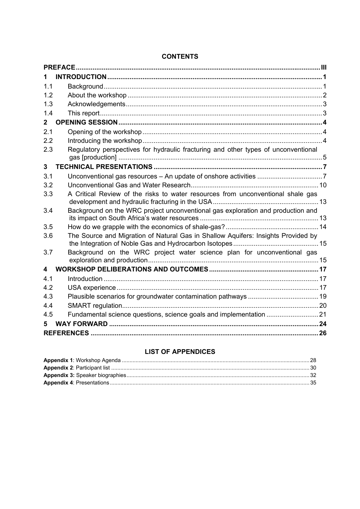| 1            |                                                                                    |  |
|--------------|------------------------------------------------------------------------------------|--|
| 1.1          |                                                                                    |  |
| 1.2          |                                                                                    |  |
| 1.3          |                                                                                    |  |
| 1.4          |                                                                                    |  |
| $\mathbf{2}$ |                                                                                    |  |
| 2.1          |                                                                                    |  |
| 2.2          |                                                                                    |  |
| 2.3          | Regulatory perspectives for hydraulic fracturing and other types of unconventional |  |
| $\mathbf{3}$ |                                                                                    |  |
| 3.1          |                                                                                    |  |
| 3.2          |                                                                                    |  |
| 3.3          | A Critical Review of the risks to water resources from unconventional shale gas    |  |
| 3.4          | Background on the WRC project unconventional gas exploration and production and    |  |
| 3.5          |                                                                                    |  |
| 3.6          | The Source and Migration of Natural Gas in Shallow Aquifers: Insights Provided by  |  |
| 3.7          | Background on the WRC project water science plan for unconventional gas            |  |
| 4            |                                                                                    |  |
| 4.1          |                                                                                    |  |
| 4.2          |                                                                                    |  |
| 4.3          |                                                                                    |  |
| 4.4          |                                                                                    |  |
| 4.5          |                                                                                    |  |
| 5            |                                                                                    |  |
|              |                                                                                    |  |

### **CONTENTS**

### **LIST OF APPENDICES**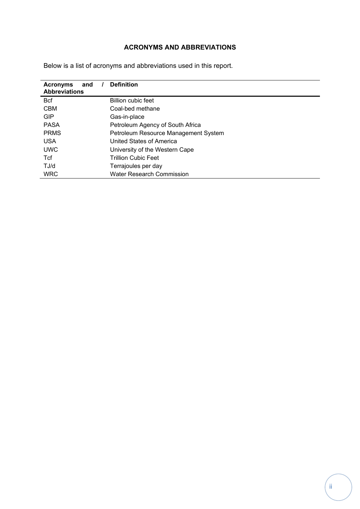## **ACRONYMS AND ABBREVIATIONS**

| <b>Acronyms</b><br>and<br><b>Abbreviations</b> | <b>Definition</b>                    |  |  |
|------------------------------------------------|--------------------------------------|--|--|
|                                                |                                      |  |  |
| <b>B</b> cf                                    | <b>Billion cubic feet</b>            |  |  |
| <b>CBM</b>                                     | Coal-bed methane                     |  |  |
| <b>GIP</b>                                     | Gas-in-place                         |  |  |
| <b>PASA</b>                                    | Petroleum Agency of South Africa     |  |  |
| <b>PRMS</b>                                    | Petroleum Resource Management System |  |  |
| <b>USA</b>                                     | United States of America             |  |  |
| <b>UWC</b>                                     | University of the Western Cape       |  |  |
| <b>T</b> cf                                    | <b>Trillion Cubic Feet</b>           |  |  |
| TJ/d                                           | Terrajoules per day                  |  |  |
| <b>WRC</b>                                     | <b>Water Research Commission</b>     |  |  |

Below is a list of acronyms and abbreviations used in this report.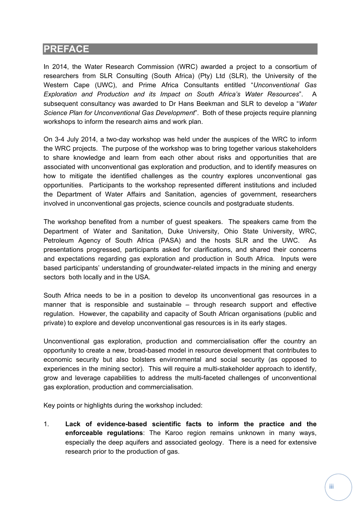# **PREFACE**

In 2014, the Water Research Commission (WRC) awarded a project to a consortium of researchers from SLR Consulting (South Africa) (Pty) Ltd (SLR), the University of the Western Cape (UWC), and Prime Africa Consultants entitled "*Unconventional Gas Exploration and Production and its Impact on South Africa's Water Resources*". A subsequent consultancy was awarded to Dr Hans Beekman and SLR to develop a "*Water Science Plan for Unconventional Gas Development*". Both of these projects require planning workshops to inform the research aims and work plan.

On 3-4 July 2014, a two-day workshop was held under the auspices of the WRC to inform the WRC projects. The purpose of the workshop was to bring together various stakeholders to share knowledge and learn from each other about risks and opportunities that are associated with unconventional gas exploration and production, and to identify measures on how to mitigate the identified challenges as the country explores unconventional gas opportunities. Participants to the workshop represented different institutions and included the Department of Water Affairs and Sanitation, agencies of government, researchers involved in unconventional gas projects, science councils and postgraduate students.

The workshop benefited from a number of guest speakers. The speakers came from the Department of Water and Sanitation, Duke University, Ohio State University, WRC, Petroleum Agency of South Africa (PASA) and the hosts SLR and the UWC. As presentations progressed, participants asked for clarifications, and shared their concerns and expectations regarding gas exploration and production in South Africa. Inputs were based participants' understanding of groundwater-related impacts in the mining and energy sectors both locally and in the USA.

South Africa needs to be in a position to develop its unconventional gas resources in a manner that is responsible and sustainable – through research support and effective regulation. However, the capability and capacity of South African organisations (public and private) to explore and develop unconventional gas resources is in its early stages.

Unconventional gas exploration, production and commercialisation offer the country an opportunity to create a new, broad-based model in resource development that contributes to economic security but also bolsters environmental and social security (as opposed to experiences in the mining sector). This will require a multi-stakeholder approach to identify, grow and leverage capabilities to address the multi-faceted challenges of unconventional gas exploration, production and commercialisation.

Key points or highlights during the workshop included:

1. **Lack of evidence-based scientific facts to inform the practice and the enforceable regulations**: The Karoo region remains unknown in many ways, especially the deep aquifers and associated geology. There is a need for extensive research prior to the production of gas.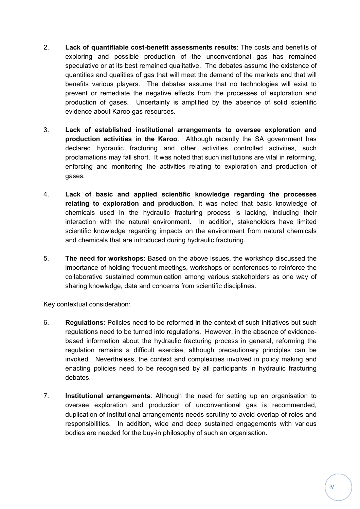- 2. **Lack of quantifiable cost-benefit assessments results**: The costs and benefits of exploring and possible production of the unconventional gas has remained speculative or at its best remained qualitative. The debates assume the existence of quantities and qualities of gas that will meet the demand of the markets and that will benefits various players. The debates assume that no technologies will exist to prevent or remediate the negative effects from the processes of exploration and production of gases. Uncertainty is amplified by the absence of solid scientific evidence about Karoo gas resources.
- 3. **Lack of established institutional arrangements to oversee exploration and production activities in the Karoo**. Although recently the SA government has declared hydraulic fracturing and other activities controlled activities, such proclamations may fall short. It was noted that such institutions are vital in reforming, enforcing and monitoring the activities relating to exploration and production of gases.
- 4. **Lack of basic and applied scientific knowledge regarding the processes relating to exploration and production**. It was noted that basic knowledge of chemicals used in the hydraulic fracturing process is lacking, including their interaction with the natural environment. In addition, stakeholders have limited scientific knowledge regarding impacts on the environment from natural chemicals and chemicals that are introduced during hydraulic fracturing.
- 5. **The need for workshops**: Based on the above issues, the workshop discussed the importance of holding frequent meetings, workshops or conferences to reinforce the collaborative sustained communication among various stakeholders as one way of sharing knowledge, data and concerns from scientific disciplines.

Key contextual consideration:

- 6. **Regulations**: Policies need to be reformed in the context of such initiatives but such regulations need to be turned into regulations. However, in the absence of evidencebased information about the hydraulic fracturing process in general, reforming the regulation remains a difficult exercise, although precautionary principles can be invoked. Nevertheless, the context and complexities involved in policy making and enacting policies need to be recognised by all participants in hydraulic fracturing debates.
- 7. **Institutional arrangements**: Although the need for setting up an organisation to oversee exploration and production of unconventional gas is recommended, duplication of institutional arrangements needs scrutiny to avoid overlap of roles and responsibilities. In addition, wide and deep sustained engagements with various bodies are needed for the buy-in philosophy of such an organisation.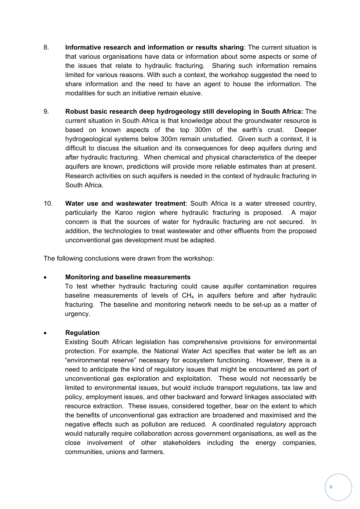- 8. **Informative research and information or results sharing**: The current situation is that various organisations have data or information about some aspects or some of the issues that relate to hydraulic fracturing. Sharing such information remains limited for various reasons. With such a context, the workshop suggested the need to share information and the need to have an agent to house the information. The modalities for such an initiative remain elusive.
- 9. **Robust basic research deep hydrogeology still developing in South Africa:** The current situation in South Africa is that knowledge about the groundwater resource is based on known aspects of the top 300m of the earth's crust. Deeper hydrogeological systems below 300m remain unstudied. Given such a context, it is difficult to discuss the situation and its consequences for deep aquifers during and after hydraulic fracturing. When chemical and physical characteristics of the deeper aquifers are known, predictions will provide more reliable estimates than at present. Research activities on such aquifers is needed in the context of hydraulic fracturing in South Africa.
- 10. **Water use and wastewater treatment**: South Africa is a water stressed country, particularly the Karoo region where hydraulic fracturing is proposed. A major concern is that the sources of water for hydraulic fracturing are not secured. In addition, the technologies to treat wastewater and other effluents from the proposed unconventional gas development must be adapted.

The following conclusions were drawn from the workshop:

### **Monitoring and baseline measurements**

To test whether hydraulic fracturing could cause aquifer contamination requires baseline measurements of levels of  $CH<sub>4</sub>$  in aquifers before and after hydraulic fracturing. The baseline and monitoring network needs to be set-up as a matter of urgency.

### **Regulation**

Existing South African legislation has comprehensive provisions for environmental protection. For example, the National Water Act specifies that water be left as an "environmental reserve" necessary for ecosystem functioning. However, there is a need to anticipate the kind of regulatory issues that might be encountered as part of unconventional gas exploration and exploitation. These would not necessarily be limited to environmental issues, but would include transport regulations, tax law and policy, employment issues, and other backward and forward linkages associated with resource extraction. These issues, considered together, bear on the extent to which the benefits of unconventional gas extraction are broadened and maximised and the negative effects such as pollution are reduced. A coordinated regulatory approach would naturally require collaboration across government organisations, as well as the close involvement of other stakeholders including the energy companies, communities, unions and farmers.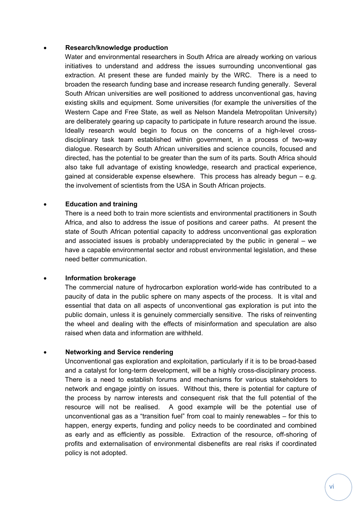#### **Research/knowledge production**

Water and environmental researchers in South Africa are already working on various initiatives to understand and address the issues surrounding unconventional gas extraction. At present these are funded mainly by the WRC. There is a need to broaden the research funding base and increase research funding generally. Several South African universities are well positioned to address unconventional gas, having existing skills and equipment. Some universities (for example the universities of the Western Cape and Free State, as well as Nelson Mandela Metropolitan University) are deliberately gearing up capacity to participate in future research around the issue. Ideally research would begin to focus on the concerns of a high-level crossdisciplinary task team established within government, in a process of two-way dialogue. Research by South African universities and science councils, focused and directed, has the potential to be greater than the sum of its parts. South Africa should also take full advantage of existing knowledge, research and practical experience, gained at considerable expense elsewhere. This process has already begun – e.g. the involvement of scientists from the USA in South African projects.

#### **Education and training**

There is a need both to train more scientists and environmental practitioners in South Africa, and also to address the issue of positions and career paths. At present the state of South African potential capacity to address unconventional gas exploration and associated issues is probably underappreciated by the public in general – we have a capable environmental sector and robust environmental legislation, and these need better communication.

#### **Information brokerage**

The commercial nature of hydrocarbon exploration world-wide has contributed to a paucity of data in the public sphere on many aspects of the process. It is vital and essential that data on all aspects of unconventional gas exploration is put into the public domain, unless it is genuinely commercially sensitive. The risks of reinventing the wheel and dealing with the effects of misinformation and speculation are also raised when data and information are withheld.

### **Networking and Service rendering**

Unconventional gas exploration and exploitation, particularly if it is to be broad-based and a catalyst for long-term development, will be a highly cross-disciplinary process. There is a need to establish forums and mechanisms for various stakeholders to network and engage jointly on issues. Without this, there is potential for capture of the process by narrow interests and consequent risk that the full potential of the resource will not be realised. A good example will be the potential use of unconventional gas as a "transition fuel" from coal to mainly renewables – for this to happen, energy experts, funding and policy needs to be coordinated and combined as early and as efficiently as possible. Extraction of the resource, off-shoring of profits and externalisation of environmental disbenefits are real risks if coordinated policy is not adopted.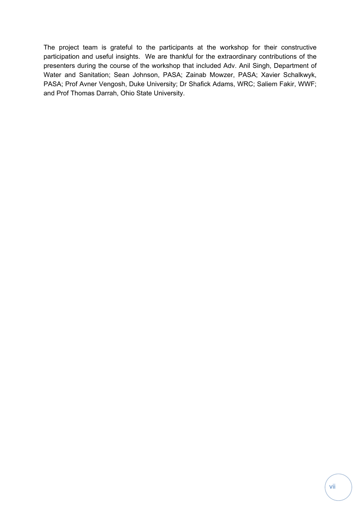The project team is grateful to the participants at the workshop for their constructive participation and useful insights. We are thankful for the extraordinary contributions of the presenters during the course of the workshop that included Adv. Anil Singh, Department of Water and Sanitation; Sean Johnson, PASA; Zainab Mowzer, PASA; Xavier Schalkwyk, PASA; Prof Avner Vengosh, Duke University; Dr Shafick Adams, WRC; Saliem Fakir, WWF; and Prof Thomas Darrah, Ohio State University.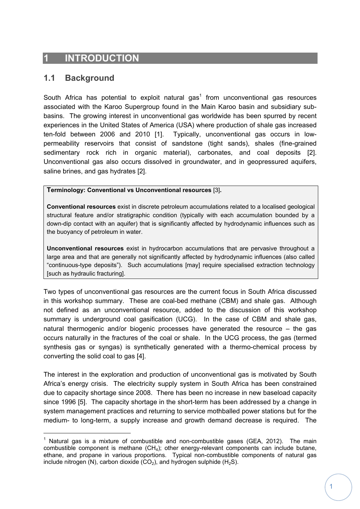# **INTRODUCTION**

## **1.1 Background**

South Africa has potential to exploit natural gas<sup>1</sup> from unconventional gas resources associated with the Karoo Supergroup found in the Main Karoo basin and subsidiary subbasins. The growing interest in unconventional gas worldwide has been spurred by recent experiences in the United States of America (USA) where production of shale gas increased ten-fold between 2006 and 2010 [1]. Typically, unconventional gas occurs in lowpermeability reservoirs that consist of sandstone (tight sands), shales (fine-grained sedimentary rock rich in organic material), carbonates, and coal deposits [2]. Unconventional gas also occurs dissolved in groundwater, and in geopressured aquifers, saline brines, and gas hydrates [2].

**Terminology: Conventional vs Unconventional resources** [3]**.** 

**Conventional resources** exist in discrete petroleum accumulations related to a localised geological structural feature and/or stratigraphic condition (typically with each accumulation bounded by a down-dip contact with an aquifer) that is significantly affected by hydrodynamic influences such as the buoyancy of petroleum in water.

**Unconventional resources** exist in hydrocarbon accumulations that are pervasive throughout a large area and that are generally not significantly affected by hydrodynamic influences (also called "continuous-type deposits"). Such accumulations [may] require specialised extraction technology [such as hydraulic fracturing].

Two types of unconventional gas resources are the current focus in South Africa discussed in this workshop summary. These are coal-bed methane (CBM) and shale gas. Although not defined as an unconventional resource, added to the discussion of this workshop summary is underground coal gasification (UCG). In the case of CBM and shale gas, natural thermogenic and/or biogenic processes have generated the resource – the gas occurs naturally in the fractures of the coal or shale. In the UCG process, the gas (termed synthesis gas or syngas) is synthetically generated with a thermo-chemical process by converting the solid coal to gas [4].

The interest in the exploration and production of unconventional gas is motivated by South Africa's energy crisis. The electricity supply system in South Africa has been constrained due to capacity shortage since 2008. There has been no increase in new baseload capacity since 1996 [5]. The capacity shortage in the short-term has been addressed by a change in system management practices and returning to service mothballed power stations but for the medium- to long-term, a supply increase and growth demand decrease is required. The

<sup>&</sup>lt;sup>1</sup> Natural gas is a mixture of combustible and non-combustible gases (GEA, 2012). The main combustible component is methane  $(CH_4)$ ; other energy-relevant components can include butane, ethane, and propane in various proportions. Typical non-combustible components of natural gas include nitrogen (N), carbon dioxide  $(CO_2)$ , and hydrogen sulphide  $(H_2S)$ .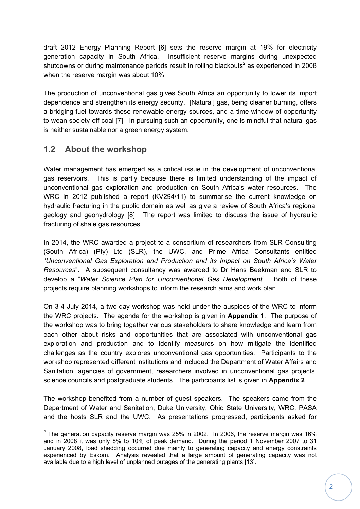draft 2012 Energy Planning Report [6] sets the reserve margin at 19% for electricity generation capacity in South Africa. Insufficient reserve margins during unexpected shutdowns or during maintenance periods result in rolling blackouts<sup>2</sup> as experienced in 2008 when the reserve margin was about 10%.

The production of unconventional gas gives South Africa an opportunity to lower its import dependence and strengthen its energy security. [Natural] gas, being cleaner burning, offers a bridging-fuel towards these renewable energy sources, and a time-window of opportunity to wean society off coal [7]. In pursuing such an opportunity, one is mindful that natural gas is neither sustainable nor a green energy system.

# **1.2 About the workshop**

Water management has emerged as a critical issue in the development of unconventional gas reservoirs. This is partly because there is limited understanding of the impact of unconventional gas exploration and production on South Africa's water resources. The WRC in 2012 published a report (KV294/11) to summarise the current knowledge on hydraulic fracturing in the public domain as well as give a review of South Africa's regional geology and geohydrology [8]. The report was limited to discuss the issue of hydraulic fracturing of shale gas resources.

In 2014, the WRC awarded a project to a consortium of researchers from SLR Consulting (South Africa) (Pty) Ltd (SLR), the UWC, and Prime Africa Consultants entitled "*Unconventional Gas Exploration and Production and its Impact on South Africa's Water Resources*". A subsequent consultancy was awarded to Dr Hans Beekman and SLR to develop a "*Water Science Plan for Unconventional Gas Development*". Both of these projects require planning workshops to inform the research aims and work plan.

On 3-4 July 2014, a two-day workshop was held under the auspices of the WRC to inform the WRC projects. The agenda for the workshop is given in **Appendix 1**. The purpose of the workshop was to bring together various stakeholders to share knowledge and learn from each other about risks and opportunities that are associated with unconventional gas exploration and production and to identify measures on how mitigate the identified challenges as the country explores unconventional gas opportunities. Participants to the workshop represented different institutions and included the Department of Water Affairs and Sanitation, agencies of government, researchers involved in unconventional gas projects, science councils and postgraduate students. The participants list is given in **Appendix 2**.

The workshop benefited from a number of guest speakers. The speakers came from the Department of Water and Sanitation, Duke University, Ohio State University, WRC, PASA and the hosts SLR and the UWC. As presentations progressed, participants asked for

<sup>&</sup>lt;sup>2</sup> The generation capacity reserve margin was 25% in 2002. In 2006, the reserve margin was 16% and in 2008 it was only 8% to 10% of peak demand. During the period 1 November 2007 to 31 January 2008, load shedding occurred due mainly to generating capacity and energy constraints experienced by Eskom. Analysis revealed that a large amount of generating capacity was not available due to a high level of unplanned outages of the generating plants [13].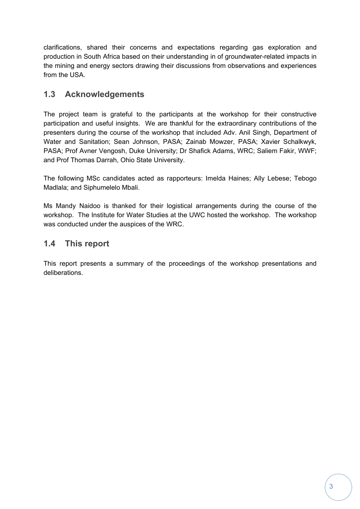clarifications, shared their concerns and expectations regarding gas exploration and production in South Africa based on their understanding in of groundwater-related impacts in the mining and energy sectors drawing their discussions from observations and experiences from the USA.

# **1.3 Acknowledgements**

The project team is grateful to the participants at the workshop for their constructive participation and useful insights. We are thankful for the extraordinary contributions of the presenters during the course of the workshop that included Adv. Anil Singh, Department of Water and Sanitation; Sean Johnson, PASA; Zainab Mowzer, PASA; Xavier Schalkwyk, PASA; Prof Avner Vengosh, Duke University; Dr Shafick Adams, WRC; Saliem Fakir, WWF; and Prof Thomas Darrah, Ohio State University.

The following MSc candidates acted as rapporteurs: Imelda Haines; Ally Lebese; Tebogo Madlala; and Siphumelelo Mbali.

Ms Mandy Naidoo is thanked for their logistical arrangements during the course of the workshop. The Institute for Water Studies at the UWC hosted the workshop. The workshop was conducted under the auspices of the WRC.

## **1.4 This report**

This report presents a summary of the proceedings of the workshop presentations and deliberations.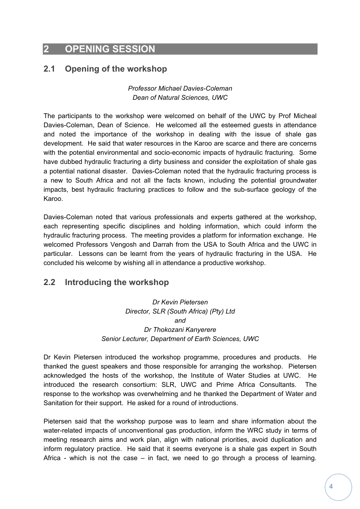# **2 OPENING SESSION**

## **2.1 Opening of the workshop**

*Professor Michael Davies-Coleman Dean of Natural Sciences, UWC*

The participants to the workshop were welcomed on behalf of the UWC by Prof Micheal Davies-Coleman, Dean of Science. He welcomed all the esteemed guests in attendance and noted the importance of the workshop in dealing with the issue of shale gas development. He said that water resources in the Karoo are scarce and there are concerns with the potential environmental and socio-economic impacts of hydraulic fracturing. Some have dubbed hydraulic fracturing a dirty business and consider the exploitation of shale gas a potential national disaster. Davies-Coleman noted that the hydraulic fracturing process is a new to South Africa and not all the facts known, including the potential groundwater impacts, best hydraulic fracturing practices to follow and the sub-surface geology of the Karoo.

Davies-Coleman noted that various professionals and experts gathered at the workshop, each representing specific disciplines and holding information, which could inform the hydraulic fracturing process. The meeting provides a platform for information exchange. He welcomed Professors Vengosh and Darrah from the USA to South Africa and the UWC in particular. Lessons can be learnt from the years of hydraulic fracturing in the USA. He concluded his welcome by wishing all in attendance a productive workshop.

## **2.2 Introducing the workshop**

*Dr Kevin Pietersen Director, SLR (South Africa) (Pty) Ltd and Dr Thokozani Kanyerere Senior Lecturer, Department of Earth Sciences, UWC* 

Dr Kevin Pietersen introduced the workshop programme, procedures and products. He thanked the guest speakers and those responsible for arranging the workshop. Pietersen acknowledged the hosts of the workshop, the Institute of Water Studies at UWC. He introduced the research consortium: SLR, UWC and Prime Africa Consultants. The response to the workshop was overwhelming and he thanked the Department of Water and Sanitation for their support. He asked for a round of introductions.

Pietersen said that the workshop purpose was to learn and share information about the water-related impacts of unconventional gas production, inform the WRC study in terms of meeting research aims and work plan, align with national priorities, avoid duplication and inform regulatory practice. He said that it seems everyone is a shale gas expert in South Africa - which is not the case  $-$  in fact, we need to go through a process of learning.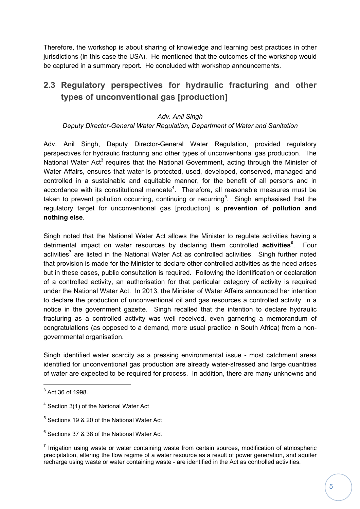Therefore, the workshop is about sharing of knowledge and learning best practices in other jurisdictions (in this case the USA). He mentioned that the outcomes of the workshop would be captured in a summary report. He concluded with workshop announcements.

# **2.3 Regulatory perspectives for hydraulic fracturing and other types of unconventional gas [production]**

### *Adv. Anil Singh*

### *Deputy Director-General Water Regulation, Department of Water and Sanitation*

Adv. Anil Singh, Deputy Director-General Water Regulation, provided regulatory perspectives for hydraulic fracturing and other types of unconventional gas production. The National Water Act<sup>3</sup> requires that the National Government, acting through the Minister of Water Affairs, ensures that water is protected, used, developed, conserved, managed and controlled in a sustainable and equitable manner, for the benefit of all persons and in accordance with its constitutional mandate<sup>4</sup>. Therefore, all reasonable measures must be taken to prevent pollution occurring, continuing or recurring<sup>5</sup>. Singh emphasised that the regulatory target for unconventional gas [production] is **prevention of pollution and nothing else**.

Singh noted that the National Water Act allows the Minister to regulate activities having a detrimental impact on water resources by declaring them controlled **activities<sup>6</sup>** . Four activities<sup>7</sup> are listed in the National Water Act as controlled activities. Singh further noted that provision is made for the Minister to declare other controlled activities as the need arises but in these cases, public consultation is required. Following the identification or declaration of a controlled activity, an authorisation for that particular category of activity is required under the National Water Act. In 2013, the Minister of Water Affairs announced her intention to declare the production of unconventional oil and gas resources a controlled activity, in a notice in the government gazette. Singh recalled that the intention to declare hydraulic fracturing as a controlled activity was well received, even garnering a memorandum of congratulations (as opposed to a demand, more usual practice in South Africa) from a nongovernmental organisation.

Singh identified water scarcity as a pressing environmental issue - most catchment areas identified for unconventional gas production are already water-stressed and large quantities of water are expected to be required for process. In addition, there are many unknowns and

 $3$  Act 36 of 1998.

<sup>&</sup>lt;sup>4</sup> Section 3(1) of the National Water Act

<sup>5</sup> Sections 19 & 20 of the National Water Act

<sup>6</sup> Sections 37 & 38 of the National Water Act

 $<sup>7</sup>$  Irrigation using waste or water containing waste from certain sources, modification of atmospheric</sup> precipitation, altering the flow regime of a water resource as a result of power generation, and aquifer recharge using waste or water containing waste - are identified in the Act as controlled activities.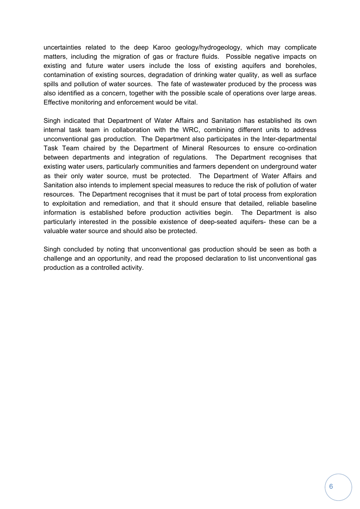uncertainties related to the deep Karoo geology/hydrogeology, which may complicate matters, including the migration of gas or fracture fluids. Possible negative impacts on existing and future water users include the loss of existing aquifers and boreholes, contamination of existing sources, degradation of drinking water quality, as well as surface spills and pollution of water sources. The fate of wastewater produced by the process was also identified as a concern, together with the possible scale of operations over large areas. Effective monitoring and enforcement would be vital.

Singh indicated that Department of Water Affairs and Sanitation has established its own internal task team in collaboration with the WRC, combining different units to address unconventional gas production. The Department also participates in the Inter-departmental Task Team chaired by the Department of Mineral Resources to ensure co-ordination between departments and integration of regulations. The Department recognises that existing water users, particularly communities and farmers dependent on underground water as their only water source, must be protected. The Department of Water Affairs and Sanitation also intends to implement special measures to reduce the risk of pollution of water resources. The Department recognises that it must be part of total process from exploration to exploitation and remediation, and that it should ensure that detailed, reliable baseline information is established before production activities begin. The Department is also particularly interested in the possible existence of deep-seated aquifers- these can be a valuable water source and should also be protected.

Singh concluded by noting that unconventional gas production should be seen as both a challenge and an opportunity, and read the proposed declaration to list unconventional gas production as a controlled activity.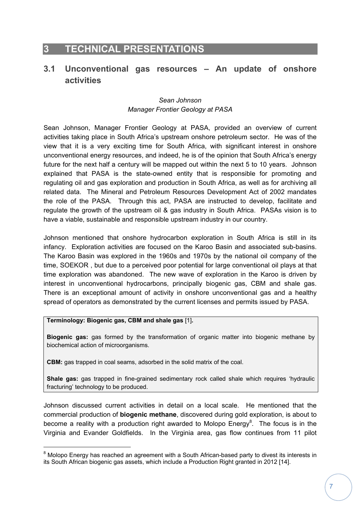# **3 TECHNICAL PRESENTATIONS**

# **3.1 Unconventional gas resources – An update of onshore activities**

### *Sean Johnson Manager Frontier Geology at PASA*

Sean Johnson, Manager Frontier Geology at PASA, provided an overview of current activities taking place in South Africa's upstream onshore petroleum sector. He was of the view that it is a very exciting time for South Africa, with significant interest in onshore unconventional energy resources, and indeed, he is of the opinion that South Africa's energy future for the next half a century will be mapped out within the next 5 to 10 years. Johnson explained that PASA is the state-owned entity that is responsible for promoting and regulating oil and gas exploration and production in South Africa, as well as for archiving all related data. The Mineral and Petroleum Resources Development Act of 2002 mandates the role of the PASA. Through this act, PASA are instructed to develop, facilitate and regulate the growth of the upstream oil & gas industry in South Africa. PASAs vision is to have a viable, sustainable and responsible upstream industry in our country.

Johnson mentioned that onshore hydrocarbon exploration in South Africa is still in its infancy. Exploration activities are focused on the Karoo Basin and associated sub-basins. The Karoo Basin was explored in the 1960s and 1970s by the national oil company of the time, SOEKOR , but due to a perceived poor potential for large conventional oil plays at that time exploration was abandoned. The new wave of exploration in the Karoo is driven by interest in unconventional hydrocarbons, principally biogenic gas, CBM and shale gas. There is an exceptional amount of activity in onshore unconventional gas and a healthy spread of operators as demonstrated by the current licenses and permits issued by PASA.

#### **Terminology: Biogenic gas, CBM and shale gas** [1]**.**

**Biogenic gas:** gas formed by the transformation of organic matter into biogenic methane by biochemical action of microorganisms.

**CBM:** gas trapped in coal seams, adsorbed in the solid matrix of the coal.

**Shale gas:** gas trapped in fine-grained sedimentary rock called shale which requires 'hydraulic fracturing' technology to be produced.

Johnson discussed current activities in detail on a local scale. He mentioned that the commercial production of **biogenic methane**, discovered during gold exploration, is about to become a reality with a production right awarded to Molopo Energy<sup>8</sup>. The focus is in the Virginia and Evander Goldfields. In the Virginia area, gas flow continues from 11 pilot

 $8$  Molopo Energy has reached an agreement with a South African-based party to divest its interests in its South African biogenic gas assets, which include a Production Right granted in 2012 [14].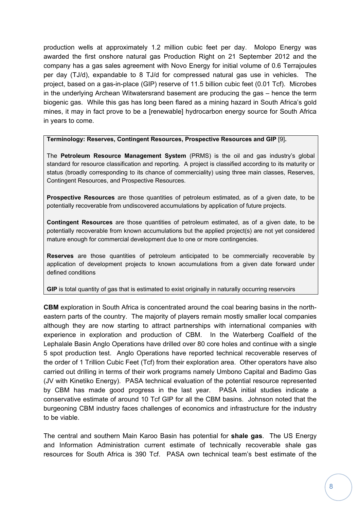production wells at approximately 1.2 million cubic feet per day. Molopo Energy was awarded the first onshore natural gas Production Right on 21 September 2012 and the company has a gas sales agreement with Novo Energy for initial volume of 0.6 Terrajoules per day (TJ/d), expandable to 8 TJ/d for compressed natural gas use in vehicles. The project, based on a gas-in-place (GIP) reserve of 11.5 billion cubic feet (0.01 Tcf). Microbes in the underlying Archean Witwatersrand basement are producing the gas – hence the term biogenic gas. While this gas has long been flared as a mining hazard in South Africa's gold mines, it may in fact prove to be a [renewable] hydrocarbon energy source for South Africa in years to come.

**Terminology: Reserves, Contingent Resources, Prospective Resources and GIP** [9]**.** 

The **Petroleum Resource Management System** (PRMS) is the oil and gas industry's global standard for resource classification and reporting. A project is classified according to its maturity or status (broadly corresponding to its chance of commerciality) using three main classes, Reserves, Contingent Resources, and Prospective Resources.

**Prospective Resources** are those quantities of petroleum estimated, as of a given date, to be potentially recoverable from undiscovered accumulations by application of future projects.

**Contingent Resources** are those quantities of petroleum estimated, as of a given date, to be potentially recoverable from known accumulations but the applied project(s) are not yet considered mature enough for commercial development due to one or more contingencies.

**Reserves** are those quantities of petroleum anticipated to be commercially recoverable by application of development projects to known accumulations from a given date forward under defined conditions

**GIP** is total quantity of gas that is estimated to exist originally in naturally occurring reservoirs

**CBM** exploration in South Africa is concentrated around the coal bearing basins in the northeastern parts of the country. The majority of players remain mostly smaller local companies although they are now starting to attract partnerships with international companies with experience in exploration and production of CBM. In the Waterberg Coalfield of the Lephalale Basin Anglo Operations have drilled over 80 core holes and continue with a single 5 spot production test. Anglo Operations have reported technical recoverable reserves of the order of 1 Trillion Cubic Feet (Tcf) from their exploration area. Other operators have also carried out drilling in terms of their work programs namely Umbono Capital and Badimo Gas (JV with Kinetiko Energy). PASA technical evaluation of the potential resource represented by CBM has made good progress in the last year. PASA initial studies indicate a conservative estimate of around 10 Tcf GIP for all the CBM basins. Johnson noted that the burgeoning CBM industry faces challenges of economics and infrastructure for the industry to be viable.

The central and southern Main Karoo Basin has potential for **shale gas**. The US Energy and Information Administration current estimate of technically recoverable shale gas resources for South Africa is 390 Tcf. PASA own technical team's best estimate of the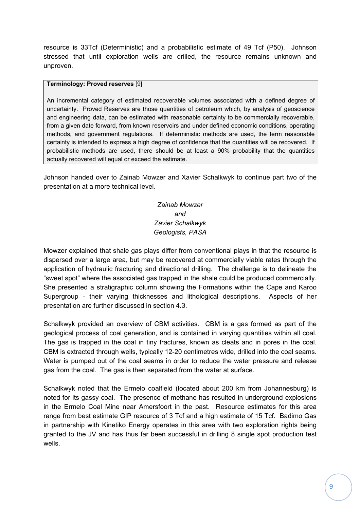resource is 33Tcf (Deterministic) and a probabilistic estimate of 49 Tcf (P50). Johnson stressed that until exploration wells are drilled, the resource remains unknown and unproven.

#### **Terminology: Proved reserves** [9]

An incremental category of estimated recoverable volumes associated with a defined degree of uncertainty. Proved Reserves are those quantities of petroleum which, by analysis of geoscience and engineering data, can be estimated with reasonable certainty to be commercially recoverable, from a given date forward, from known reservoirs and under defined economic conditions, operating methods, and government regulations. If deterministic methods are used, the term reasonable certainty is intended to express a high degree of confidence that the quantities will be recovered. If probabilistic methods are used, there should be at least a 90% probability that the quantities actually recovered will equal or exceed the estimate.

Johnson handed over to Zainab Mowzer and Xavier Schalkwyk to continue part two of the presentation at a more technical level.

## *Zainab Mowzer and Zavier Schalkwyk Geologists, PASA*

Mowzer explained that shale gas plays differ from conventional plays in that the resource is dispersed over a large area, but may be recovered at commercially viable rates through the application of hydraulic fracturing and directional drilling. The challenge is to delineate the "sweet spot" where the associated gas trapped in the shale could be produced commercially. She presented a stratigraphic column showing the Formations within the Cape and Karoo Supergroup - their varying thicknesses and lithological descriptions. Aspects of her presentation are further discussed in section 4.3.

Schalkwyk provided an overview of CBM activities. CBM is a gas formed as part of the geological process of coal generation, and is contained in varying quantities within all coal. The gas is trapped in the coal in tiny fractures, known as cleats and in pores in the coal. CBM is extracted through wells, typically 12-20 centimetres wide, drilled into the coal seams. Water is pumped out of the coal seams in order to reduce the water pressure and release gas from the coal. The gas is then separated from the water at surface.

Schalkwyk noted that the Ermelo coalfield (located about 200 km from Johannesburg) is noted for its gassy coal. The presence of methane has resulted in underground explosions in the Ermelo Coal Mine near Amersfoort in the past. Resource estimates for this area range from best estimate GIP resource of 3 Tcf and a high estimate of 15 Tcf. Badimo Gas in partnership with Kinetiko Energy operates in this area with two exploration rights being granted to the JV and has thus far been successful in drilling 8 single spot production test wells.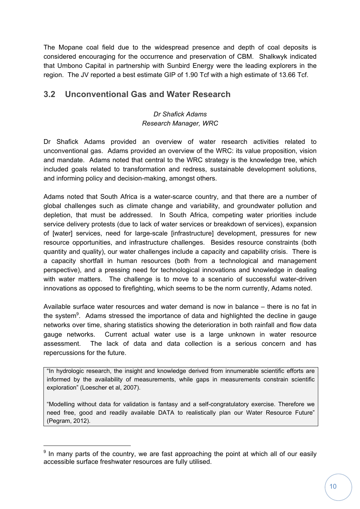The Mopane coal field due to the widespread presence and depth of coal deposits is considered encouraging for the occurrence and preservation of CBM. Shalkwyk indicated that Umbono Capital in partnership with Sunbird Energy were the leading explorers in the region. The JV reported a best estimate GIP of 1.90 Tcf with a high estimate of 13.66 Tcf.

# **3.2 Unconventional Gas and Water Research**

## *Dr Shafick Adams Research Manager, WRC*

Dr Shafick Adams provided an overview of water research activities related to unconventional gas. Adams provided an overview of the WRC: its value proposition, vision and mandate. Adams noted that central to the WRC strategy is the knowledge tree, which included goals related to transformation and redress, sustainable development solutions, and informing policy and decision-making, amongst others.

Adams noted that South Africa is a water-scarce country, and that there are a number of global challenges such as climate change and variability, and groundwater pollution and depletion, that must be addressed. In South Africa, competing water priorities include service delivery protests (due to lack of water services or breakdown of services), expansion of [water] services, need for large-scale [infrastructure] development, pressures for new resource opportunities, and infrastructure challenges. Besides resource constraints (both quantity and quality), our water challenges include a capacity and capability crisis. There is a capacity shortfall in human resources (both from a technological and management perspective), and a pressing need for technological innovations and knowledge in dealing with water matters. The challenge is to move to a scenario of successful water-driven innovations as opposed to firefighting, which seems to be the norm currently, Adams noted.

Available surface water resources and water demand is now in balance – there is no fat in the system<sup>9</sup>. Adams stressed the importance of data and highlighted the decline in gauge networks over time, sharing statistics showing the deterioration in both rainfall and flow data gauge networks. Current actual water use is a large unknown in water resource assessment. The lack of data and data collection is a serious concern and has repercussions for the future.

"In hydrologic research, the insight and knowledge derived from innumerable scientific efforts are informed by the availability of measurements, while gaps in measurements constrain scientific exploration" (Loescher et al, 2007).

"Modelling without data for validation is fantasy and a self-congratulatory exercise. Therefore we need free, good and readily available DATA to realistically plan our Water Resource Future" (Pegram, 2012).

 $9$  In many parts of the country, we are fast approaching the point at which all of our easily accessible surface freshwater resources are fully utilised.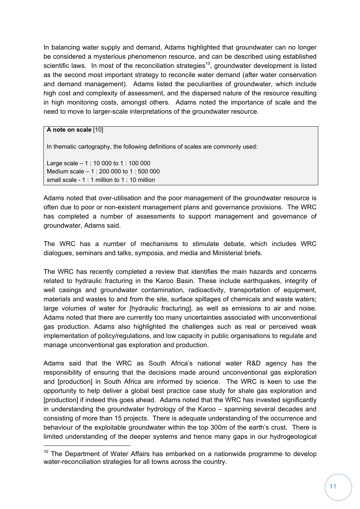In balancing water supply and demand, Adams highlighted that groundwater can no longer be considered a mysterious phenomenon resource, and can be described using established scientific laws. In most of the reconciliation strategies<sup>10</sup>, groundwater development is listed as the second most important strategy to reconcile water demand (after water conservation and demand management). Adams listed the peculiarities of groundwater, which include high cost and complexity of assessment, and the dispersed nature of the resource resulting in high monitoring costs, amongst others. Adams noted the importance of scale and the need to move to larger-scale interpretations of the groundwater resource.

### **A note on scale** [10]

In thematic cartography, the following definitions of scales are commonly used:

Large scale – 1 : 10 000 to 1 : 100 000 Medium scale – 1 : 200 000 to 1 : 500 000 small scale - 1 : 1 million to 1 : 10 million

Adams noted that over-utilisation and the poor management of the groundwater resource is often due to poor or non-existent management plans and governance provisions. The WRC has completed a number of assessments to support management and governance of groundwater, Adams said.

The WRC has a number of mechanisms to stimulate debate, which includes WRC dialogues, seminars and talks, symposia, and media and Ministerial briefs.

The WRC has recently completed a review that identifies the main hazards and concerns related to hydraulic fracturing in the Karoo Basin. These include earthquakes, integrity of well casings and groundwater contamination, radioactivity, transportation of equipment, materials and wastes to and from the site, surface spillages of chemicals and waste waters; large volumes of water for [hydraulic fracturing], as well as emissions to air and noise. Adams noted that there are currently too many uncertainties associated with unconventional gas production. Adams also highlighted the challenges such as real or perceived weak implementation of policy/regulations, and low capacity in public organisations to regulate and manage unconventional gas exploration and production.

Adams said that the WRC as South Africa's national water R&D agency has the responsibility of ensuring that the decisions made around unconventional gas exploration and [production] in South Africa are informed by science. The WRC is keen to use the opportunity to help deliver a global best practice case study for shale gas exploration and [production] if indeed this goes ahead. Adams noted that the WRC has invested significantly in understanding the groundwater hydrology of the Karoo – spanning several decades and consisting of more than 15 projects. There is adequate understanding of the occurrence and behaviour of the exploitable groundwater within the top 300m of the earth's crust. There is limited understanding of the deeper systems and hence many gaps in our hydrogeological

 $10$  The Department of Water Affairs has embarked on a nationwide programme to develop water-reconciliation strategies for all towns across the country.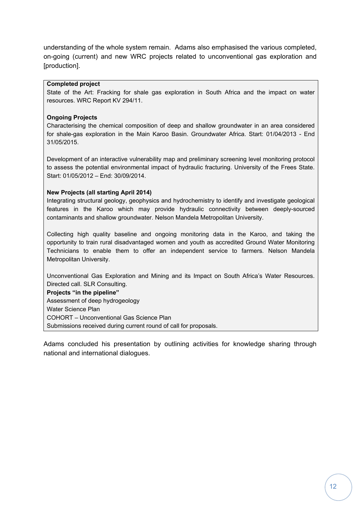understanding of the whole system remain. Adams also emphasised the various completed, on-going (current) and new WRC projects related to unconventional gas exploration and [production].

#### **Completed project**

State of the Art: Fracking for shale gas exploration in South Africa and the impact on water resources. WRC Report KV 294/11.

#### **Ongoing Projects**

Characterising the chemical composition of deep and shallow groundwater in an area considered for shale-gas exploration in the Main Karoo Basin. Groundwater Africa. Start: 01/04/2013 - End 31/05/2015.

Development of an interactive vulnerability map and preliminary screening level monitoring protocol to assess the potential environmental impact of hydraulic fracturing. University of the Frees State. Start: 01/05/2012 – End: 30/09/2014.

#### **New Projects (all starting April 2014)**

Integrating structural geology, geophysics and hydrochemistry to identify and investigate geological features in the Karoo which may provide hydraulic connectivity between deeply-sourced contaminants and shallow groundwater. Nelson Mandela Metropolitan University.

Collecting high quality baseline and ongoing monitoring data in the Karoo, and taking the opportunity to train rural disadvantaged women and youth as accredited Ground Water Monitoring Technicians to enable them to offer an independent service to farmers. Nelson Mandela Metropolitan University.

Unconventional Gas Exploration and Mining and its Impact on South Africa's Water Resources. Directed call. SLR Consulting.

**Projects "in the pipeline"**  Assessment of deep hydrogeology Water Science Plan COHORT – Unconventional Gas Science Plan Submissions received during current round of call for proposals.

Adams concluded his presentation by outlining activities for knowledge sharing through national and international dialogues.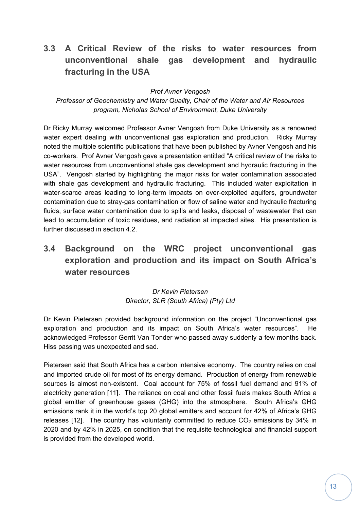# **3.3 A Critical Review of the risks to water resources from unconventional shale gas development and hydraulic fracturing in the USA**

*Prof Avner Vengosh* 

*Professor of Geochemistry and Water Quality, Chair of the Water and Air Resources program, Nicholas School of Environment, Duke University* 

Dr Ricky Murray welcomed Professor Avner Vengosh from Duke University as a renowned water expert dealing with unconventional gas exploration and production. Ricky Murray noted the multiple scientific publications that have been published by Avner Vengosh and his co-workers. Prof Avner Vengosh gave a presentation entitled "A critical review of the risks to water resources from unconventional shale gas development and hydraulic fracturing in the USA". Vengosh started by highlighting the major risks for water contamination associated with shale gas development and hydraulic fracturing. This included water exploitation in water-scarce areas leading to long-term impacts on over-exploited aquifers, groundwater contamination due to stray-gas contamination or flow of saline water and hydraulic fracturing fluids, surface water contamination due to spills and leaks, disposal of wastewater that can lead to accumulation of toxic residues, and radiation at impacted sites. His presentation is further discussed in section 4.2.

# **3.4 Background on the WRC project unconventional gas exploration and production and its impact on South Africa's water resources**

### *Dr Kevin Pietersen Director, SLR (South Africa) (Pty) Ltd*

Dr Kevin Pietersen provided background information on the project "Unconventional gas exploration and production and its impact on South Africa's water resources". He acknowledged Professor Gerrit Van Tonder who passed away suddenly a few months back. Hiss passing was unexpected and sad.

Pietersen said that South Africa has a carbon intensive economy. The country relies on coal and imported crude oil for most of its energy demand. Production of energy from renewable sources is almost non-existent. Coal account for 75% of fossil fuel demand and 91% of electricity generation [11]. The reliance on coal and other fossil fuels makes South Africa a global emitter of greenhouse gases (GHG) into the atmosphere. South Africa's GHG emissions rank it in the world's top 20 global emitters and account for 42% of Africa's GHG releases [12]. The country has voluntarily committed to reduce  $CO<sub>2</sub>$  emissions by 34% in 2020 and by 42% in 2025, on condition that the requisite technological and financial support is provided from the developed world.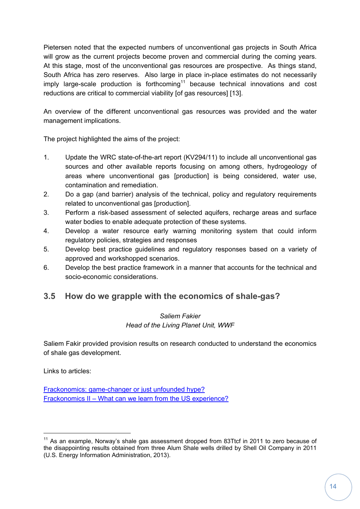Pietersen noted that the expected numbers of unconventional gas projects in South Africa will grow as the current projects become proven and commercial during the coming years. At this stage, most of the unconventional gas resources are prospective. As things stand, South Africa has zero reserves. Also large in place in-place estimates do not necessarily imply large-scale production is forthcoming<sup>11</sup> because technical innovations and cost reductions are critical to commercial viability [of gas resources] [13].

An overview of the different unconventional gas resources was provided and the water management implications.

The project highlighted the aims of the project:

- 1. Update the WRC state-of-the-art report (KV294/11) to include all unconventional gas sources and other available reports focusing on among others, hydrogeology of areas where unconventional gas [production] is being considered, water use, contamination and remediation.
- 2. Do a gap (and barrier) analysis of the technical, policy and regulatory requirements related to unconventional gas [production].
- 3. Perform a risk-based assessment of selected aquifers, recharge areas and surface water bodies to enable adequate protection of these systems.
- 4. Develop a water resource early warning monitoring system that could inform regulatory policies, strategies and responses
- 5. Develop best practice guidelines and regulatory responses based on a variety of approved and workshopped scenarios.
- 6. Develop the best practice framework in a manner that accounts for the technical and socio-economic considerations.

# **3.5 How do we grapple with the economics of shale-gas?**

### *Saliem Fakier Head of the Living Planet Unit, WWF*

Saliem Fakir provided provision results on research conducted to understand the economics of shale gas development.

Links to articles:

Frackonomics: game-changer or just unfounded hype? Frackonomics II – What can we learn from the US experience?

 $11$  As an example. Norway's shale gas assessment dropped from 83Ttcf in 2011 to zero because of the disappointing results obtained from three Alum Shale wells drilled by Shell Oil Company in 2011 (U.S. Energy Information Administration, 2013).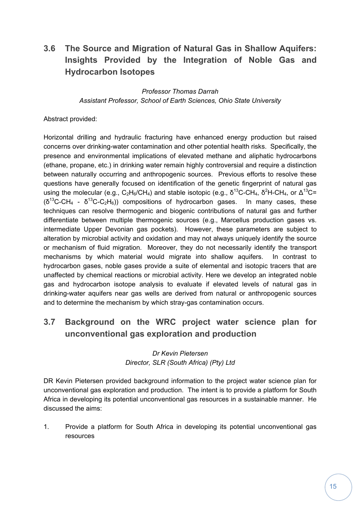# **3.6 The Source and Migration of Natural Gas in Shallow Aquifers: Insights Provided by the Integration of Noble Gas and Hydrocarbon Isotopes**

*Professor Thomas Darrah Assistant Professor, School of Earth Sciences, Ohio State University* 

Abstract provided:

Horizontal drilling and hydraulic fracturing have enhanced energy production but raised concerns over drinking-water contamination and other potential health risks. Specifically, the presence and environmental implications of elevated methane and aliphatic hydrocarbons (ethane, propane, etc.) in drinking water remain highly controversial and require a distinction between naturally occurring and anthropogenic sources. Previous efforts to resolve these questions have generally focused on identification of the genetic fingerprint of natural gas using the molecular (e.g., C<sub>2</sub>H<sub>6</sub>/CH<sub>4</sub>) and stable isotopic (e.g.,  $\delta^{13}$ C-CH<sub>4</sub>,  $\delta^{2}$ H-CH<sub>4</sub>, or  $\Delta^{13}$ C=  $(\delta^{13}C\text{-}CH_4 - \delta^{13}C\text{-}C_2H_6)$  compositions of hydrocarbon gases. In many cases, these techniques can resolve thermogenic and biogenic contributions of natural gas and further differentiate between multiple thermogenic sources (e.g., Marcellus production gases vs. intermediate Upper Devonian gas pockets). However, these parameters are subject to alteration by microbial activity and oxidation and may not always uniquely identify the source or mechanism of fluid migration. Moreover, they do not necessarily identify the transport mechanisms by which material would migrate into shallow aquifers. In contrast to hydrocarbon gases, noble gases provide a suite of elemental and isotopic tracers that are unaffected by chemical reactions or microbial activity. Here we develop an integrated noble gas and hydrocarbon isotope analysis to evaluate if elevated levels of natural gas in drinking-water aquifers near gas wells are derived from natural or anthropogenic sources and to determine the mechanism by which stray-gas contamination occurs.

# **3.7 Background on the WRC project water science plan for unconventional gas exploration and production**

### *Dr Kevin Pietersen Director, SLR (South Africa) (Pty) Ltd*

DR Kevin Pietersen provided background information to the project water science plan for unconventional gas exploration and production. The intent is to provide a platform for South Africa in developing its potential unconventional gas resources in a sustainable manner. He discussed the aims:

1. Provide a platform for South Africa in developing its potential unconventional gas resources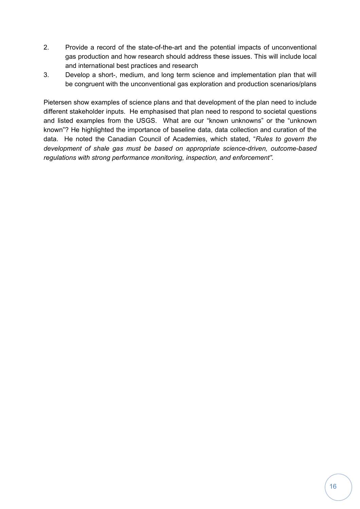- 2. Provide a record of the state-of-the-art and the potential impacts of unconventional gas production and how research should address these issues. This will include local and international best practices and research
- 3. Develop a short-, medium, and long term science and implementation plan that will be congruent with the unconventional gas exploration and production scenarios/plans

Pietersen show examples of science plans and that development of the plan need to include different stakeholder inputs. He emphasised that plan need to respond to societal questions and listed examples from the USGS. What are our "known unknowns" or the "unknown known"? He highlighted the importance of baseline data, data collection and curation of the data. He noted the Canadian Council of Academies, which stated, "*Rules to govern the development of shale gas must be based on appropriate science-driven, outcome-based regulations with strong performance monitoring, inspection, and enforcement".*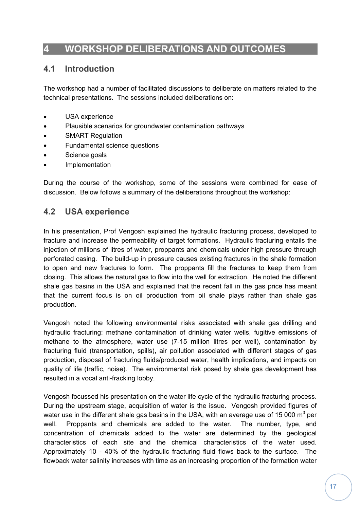# **4 WORKSHOP DELIBERATIONS AND OUTCOMES**

## **4.1 Introduction**

The workshop had a number of facilitated discussions to deliberate on matters related to the technical presentations. The sessions included deliberations on:

- USA experience
- Plausible scenarios for groundwater contamination pathways
- SMART Regulation
- Fundamental science questions
- Science goals
- Implementation

During the course of the workshop, some of the sessions were combined for ease of discussion. Below follows a summary of the deliberations throughout the workshop:

## **4.2 USA experience**

In his presentation, Prof Vengosh explained the hydraulic fracturing process, developed to fracture and increase the permeability of target formations. Hydraulic fracturing entails the injection of millions of litres of water, proppants and chemicals under high pressure through perforated casing. The build-up in pressure causes existing fractures in the shale formation to open and new fractures to form. The proppants fill the fractures to keep them from closing. This allows the natural gas to flow into the well for extraction. He noted the different shale gas basins in the USA and explained that the recent fall in the gas price has meant that the current focus is on oil production from oil shale plays rather than shale gas production.

Vengosh noted the following environmental risks associated with shale gas drilling and hydraulic fracturing: methane contamination of drinking water wells, fugitive emissions of methane to the atmosphere, water use (7-15 million litres per well), contamination by fracturing fluid (transportation, spills), air pollution associated with different stages of gas production, disposal of fracturing fluids/produced water, health implications, and impacts on quality of life (traffic, noise). The environmental risk posed by shale gas development has resulted in a vocal anti-fracking lobby.

Vengosh focussed his presentation on the water life cycle of the hydraulic fracturing process. During the upstream stage, acquisition of water is the issue. Vengosh provided figures of water use in the different shale gas basins in the USA, with an average use of 15 000 m<sup>3</sup> per well. Proppants and chemicals are added to the water. The number, type, and concentration of chemicals added to the water are determined by the geological characteristics of each site and the chemical characteristics of the water used. Approximately 10 - 40% of the hydraulic fracturing fluid flows back to the surface. The flowback water salinity increases with time as an increasing proportion of the formation water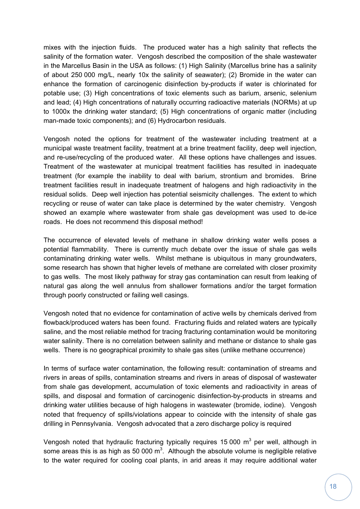mixes with the injection fluids. The produced water has a high salinity that reflects the salinity of the formation water. Vengosh described the composition of the shale wastewater in the Marcellus Basin in the USA as follows: (1) High Salinity (Marcellus brine has a salinity of about 250 000 mg/L, nearly 10x the salinity of seawater); (2) Bromide in the water can enhance the formation of carcinogenic disinfection by-products if water is chlorinated for potable use; (3) High concentrations of toxic elements such as barium, arsenic, selenium and lead; (4) High concentrations of naturally occurring radioactive materials (NORMs) at up to 1000x the drinking water standard; (5) High concentrations of organic matter (including man-made toxic components); and (6) Hydrocarbon residuals.

Vengosh noted the options for treatment of the wastewater including treatment at a municipal waste treatment facility, treatment at a brine treatment facility, deep well injection, and re-use/recycling of the produced water. All these options have challenges and issues. Treatment of the wastewater at municipal treatment facilities has resulted in inadequate treatment (for example the inability to deal with barium, strontium and bromides. Brine treatment facilities result in inadequate treatment of halogens and high radioactivity in the residual solids. Deep well injection has potential seismicity challenges. The extent to which recycling or reuse of water can take place is determined by the water chemistry. Vengosh showed an example where wastewater from shale gas development was used to de-ice roads. He does not recommend this disposal method!

The occurrence of elevated levels of methane in shallow drinking water wells poses a potential flammability. There is currently much debate over the issue of shale gas wells contaminating drinking water wells. Whilst methane is ubiquitous in many groundwaters, some research has shown that higher levels of methane are correlated with closer proximity to gas wells. The most likely pathway for stray gas contamination can result from leaking of natural gas along the well annulus from shallower formations and/or the target formation through poorly constructed or failing well casings.

Vengosh noted that no evidence for contamination of active wells by chemicals derived from flowback/produced waters has been found. Fracturing fluids and related waters are typically saline, and the most reliable method for tracing fracturing contamination would be monitoring water salinity. There is no correlation between salinity and methane or distance to shale gas wells. There is no geographical proximity to shale gas sites (unlike methane occurrence)

In terms of surface water contamination, the following result: contamination of streams and rivers in areas of spills, contamination streams and rivers in areas of disposal of wastewater from shale gas development, accumulation of toxic elements and radioactivity in areas of spills, and disposal and formation of carcinogenic disinfection-by-products in streams and drinking water utilities because of high halogens in wastewater (bromide, iodine). Vengosh noted that frequency of spills/violations appear to coincide with the intensity of shale gas drilling in Pennsylvania. Vengosh advocated that a zero discharge policy is required

Vengosh noted that hydraulic fracturing typically requires 15 000  $m^3$  per well, although in some areas this is as high as 50 000 m<sup>3</sup>. Although the absolute volume is negligible relative to the water required for cooling coal plants, in arid areas it may require additional water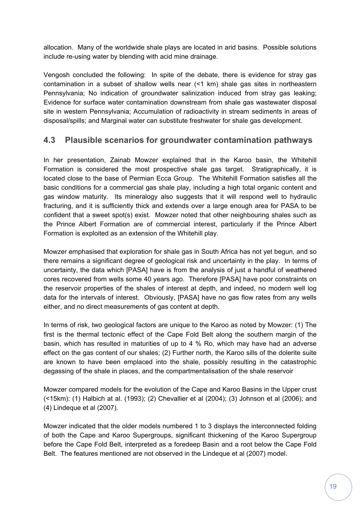allocation. Many of the worldwide shale plays are located in arid basins. Possible solutions include re-using water by blending with acid mine drainage.

Vengosh concluded the following: In spite of the debate, there is evidence for stray gas contamination in a subset of shallow wells near (<1 km) shale gas sites in northeastern Pennsylvania; No indication of groundwater salinization induced from stray gas leaking; Evidence for surface water contamination downstream from shale gas wastewater disposal site in western Pennsylvania; Accumulation of radioactivity in stream sediments in areas of disposal/spills; and Marginal water can substitute freshwater for shale gas development.

# **4.3 Plausible scenarios for groundwater contamination pathways**

In her presentation, Zainab Mowzer explained that in the Karoo basin, the Whitehill Formation is considered the most prospective shale gas target. Stratigraphically, it is located close to the base of Permian Ecca Group. The Whitehill Formation satisfies all the basic conditions for a commercial gas shale play, including a high total organic content and gas window maturity. Its mineralogy also suggests that it will respond well to hydraulic fracturing, and it is sufficiently thick and extends over a large enough area for PASA to be confident that a sweet spot(s) exist. Mowzer noted that other neighbouring shales such as the Prince Albert Formation are of commercial interest, particularly if the Prince Albert Formation is exploited as an extension of the Whitehill play.

Mowzer emphasised that exploration for shale gas in South Africa has not yet begun, and so there remains a significant degree of geological risk and uncertainty in the play. In terms of uncertainty, the data which [PASA] have is from the analysis of just a handful of weathered cores recovered from wells some 40 years ago. Therefore [PASA] have poor constraints on the reservoir properties of the shales of interest at depth, and indeed, no modern well log data for the intervals of interest. Obviously, [PASA] have no gas flow rates from any wells either, and no direct measurements of gas content at depth.

In terms of risk, two geological factors are unique to the Karoo as noted by Mowzer: (1) The first is the thermal tectonic effect of the Cape Fold Belt along the southern margin of the basin, which has resulted in maturities of up to 4 % Ro, which may have had an adverse effect on the gas content of our shales; (2) Further north, the Karoo sills of the dolerite suite are known to have been emplaced into the shale, possibly resulting in the catastrophic degassing of the shale in places, and the compartmentalisation of the shale reservoir

Mowzer compared models for the evolution of the Cape and Karoo Basins in the Upper crust (<15km): (1) Halbich at al. (1993); (2) Chevallier et al (2004); (3) Johnson et al (2006); and (4) Lindeque et al (2007).

Mowzer indicated that the older models numbered 1 to 3 displays the interconnected folding of both the Cape and Karoo Supergroups, significant thickening of the Karoo Supergroup before the Cape Fold Belt, interpreted as a foredeep Basin and a root below the Cape Fold Belt. The features mentioned are not observed in the Lindeque et al (2007) model.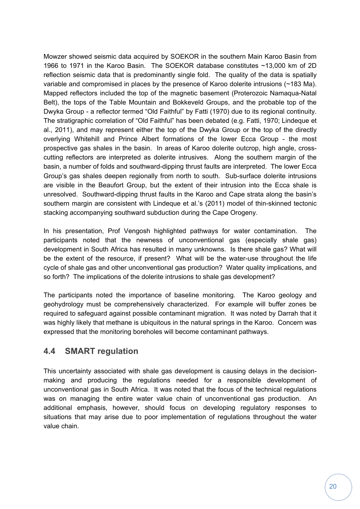Mowzer showed seismic data acquired by SOEKOR in the southern Main Karoo Basin from 1966 to 1971 in the Karoo Basin. The SOEKOR database constitutes ~13,000 km of 2D reflection seismic data that is predominantly single fold. The quality of the data is spatially variable and compromised in places by the presence of Karoo dolerite intrusions (~183 Ma). Mapped reflectors included the top of the magnetic basement (Proterozoic Namaqua-Natal Belt), the tops of the Table Mountain and Bokkeveld Groups, and the probable top of the Dwyka Group - a reflector termed "Old Faithful" by Fatti (1970) due to its regional continuity. The stratigraphic correlation of "Old Faithful" has been debated (e.g. Fatti, 1970; Lindeque et al., 2011), and may represent either the top of the Dwyka Group or the top of the directly overlying Whitehill and Prince Albert formations of the lower Ecca Group - the most prospective gas shales in the basin. In areas of Karoo dolerite outcrop, high angle, crosscutting reflectors are interpreted as dolerite intrusives. Along the southern margin of the basin, a number of folds and southward-dipping thrust faults are interpreted. The lower Ecca Group's gas shales deepen regionally from north to south. Sub-surface dolerite intrusions are visible in the Beaufort Group, but the extent of their intrusion into the Ecca shale is unresolved. Southward-dipping thrust faults in the Karoo and Cape strata along the basin's southern margin are consistent with Lindeque et al.'s (2011) model of thin-skinned tectonic stacking accompanying southward subduction during the Cape Orogeny.

In his presentation, Prof Vengosh highlighted pathways for water contamination. The participants noted that the newness of unconventional gas (especially shale gas) development in South Africa has resulted in many unknowns. Is there shale gas? What will be the extent of the resource, if present? What will be the water-use throughout the life cycle of shale gas and other unconventional gas production? Water quality implications, and so forth? The implications of the dolerite intrusions to shale gas development?

The participants noted the importance of baseline monitoring. The Karoo geology and geohydrology must be comprehensively characterized. For example will buffer zones be required to safeguard against possible contaminant migration. It was noted by Darrah that it was highly likely that methane is ubiquitous in the natural springs in the Karoo. Concern was expressed that the monitoring boreholes will become contaminant pathways.

# **4.4 SMART regulation**

This uncertainty associated with shale gas development is causing delays in the decisionmaking and producing the regulations needed for a responsible development of unconventional gas in South Africa. It was noted that the focus of the technical regulations was on managing the entire water value chain of unconventional gas production. An additional emphasis, however, should focus on developing regulatory responses to situations that may arise due to poor implementation of regulations throughout the water value chain.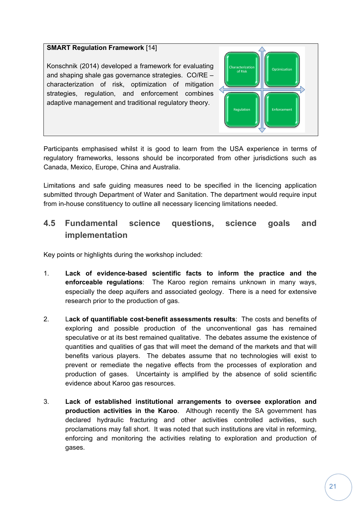## **SMART Regulation Framework** [14]

Konschnik (2014) developed a framework for evaluating and shaping shale gas governance strategies. CO/RE – characterization of risk, optimization of mitigation strategies, regulation, and enforcement combines adaptive management and traditional regulatory theory.



Participants emphasised whilst it is good to learn from the USA experience in terms of regulatory frameworks, lessons should be incorporated from other jurisdictions such as Canada, Mexico, Europe, China and Australia.

Limitations and safe guiding measures need to be specified in the licencing application submitted through Department of Water and Sanitation. The department would require input from in-house constituency to outline all necessary licencing limitations needed.

# **4.5 Fundamental science questions, science goals and implementation**

Key points or highlights during the workshop included:

- 1. **Lack of evidence-based scientific facts to inform the practice and the enforceable regulations**: The Karoo region remains unknown in many ways, especially the deep aquifers and associated geology. There is a need for extensive research prior to the production of gas.
- 2. L**ack of quantifiable cost-benefit assessments results**: The costs and benefits of exploring and possible production of the unconventional gas has remained speculative or at its best remained qualitative. The debates assume the existence of quantities and qualities of gas that will meet the demand of the markets and that will benefits various players. The debates assume that no technologies will exist to prevent or remediate the negative effects from the processes of exploration and production of gases. Uncertainty is amplified by the absence of solid scientific evidence about Karoo gas resources.
- 3. **Lack of established institutional arrangements to oversee exploration and production activities in the Karoo**. Although recently the SA government has declared hydraulic fracturing and other activities controlled activities, such proclamations may fall short. It was noted that such institutions are vital in reforming, enforcing and monitoring the activities relating to exploration and production of gases.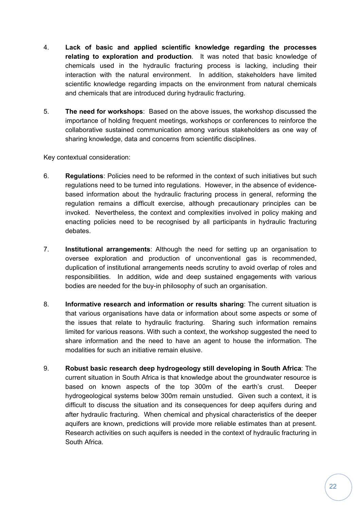- 4. **Lack of basic and applied scientific knowledge regarding the processes relating to exploration and production**. It was noted that basic knowledge of chemicals used in the hydraulic fracturing process is lacking, including their interaction with the natural environment. In addition, stakeholders have limited scientific knowledge regarding impacts on the environment from natural chemicals and chemicals that are introduced during hydraulic fracturing.
- 5. **The need for workshops**: Based on the above issues, the workshop discussed the importance of holding frequent meetings, workshops or conferences to reinforce the collaborative sustained communication among various stakeholders as one way of sharing knowledge, data and concerns from scientific disciplines.

Key contextual consideration:

- 6. **Regulations**: Policies need to be reformed in the context of such initiatives but such regulations need to be turned into regulations. However, in the absence of evidencebased information about the hydraulic fracturing process in general, reforming the regulation remains a difficult exercise, although precautionary principles can be invoked. Nevertheless, the context and complexities involved in policy making and enacting policies need to be recognised by all participants in hydraulic fracturing debates.
- 7. **Institutional arrangements**: Although the need for setting up an organisation to oversee exploration and production of unconventional gas is recommended, duplication of institutional arrangements needs scrutiny to avoid overlap of roles and responsibilities. In addition, wide and deep sustained engagements with various bodies are needed for the buy-in philosophy of such an organisation.
- 8. **Informative research and information or results sharing**: The current situation is that various organisations have data or information about some aspects or some of the issues that relate to hydraulic fracturing. Sharing such information remains limited for various reasons. With such a context, the workshop suggested the need to share information and the need to have an agent to house the information. The modalities for such an initiative remain elusive.
- 9. **Robust basic research deep hydrogeology still developing in South Africa**: The current situation in South Africa is that knowledge about the groundwater resource is based on known aspects of the top 300m of the earth's crust. Deeper hydrogeological systems below 300m remain unstudied. Given such a context, it is difficult to discuss the situation and its consequences for deep aquifers during and after hydraulic fracturing. When chemical and physical characteristics of the deeper aquifers are known, predictions will provide more reliable estimates than at present. Research activities on such aquifers is needed in the context of hydraulic fracturing in South Africa.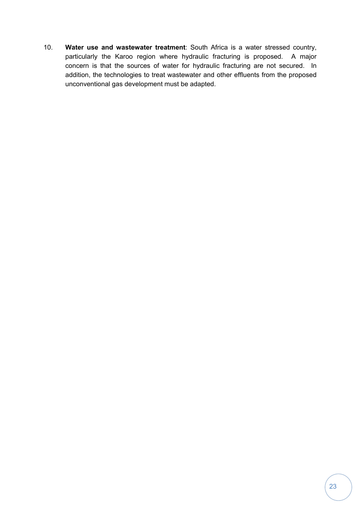10. **Water use and wastewater treatment**: South Africa is a water stressed country, particularly the Karoo region where hydraulic fracturing is proposed. A major concern is that the sources of water for hydraulic fracturing are not secured. In addition, the technologies to treat wastewater and other effluents from the proposed unconventional gas development must be adapted.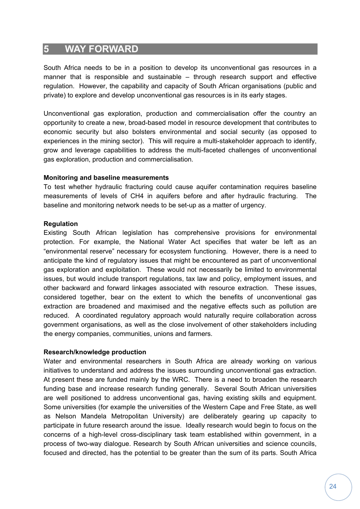# **5 WAY FORWARD**

South Africa needs to be in a position to develop its unconventional gas resources in a manner that is responsible and sustainable – through research support and effective regulation. However, the capability and capacity of South African organisations (public and private) to explore and develop unconventional gas resources is in its early stages.

Unconventional gas exploration, production and commercialisation offer the country an opportunity to create a new, broad-based model in resource development that contributes to economic security but also bolsters environmental and social security (as opposed to experiences in the mining sector). This will require a multi-stakeholder approach to identify, grow and leverage capabilities to address the multi-faceted challenges of unconventional gas exploration, production and commercialisation.

### **Monitoring and baseline measurements**

To test whether hydraulic fracturing could cause aquifer contamination requires baseline measurements of levels of CH4 in aquifers before and after hydraulic fracturing. The baseline and monitoring network needs to be set-up as a matter of urgency.

#### **Regulation**

Existing South African legislation has comprehensive provisions for environmental protection. For example, the National Water Act specifies that water be left as an "environmental reserve" necessary for ecosystem functioning. However, there is a need to anticipate the kind of regulatory issues that might be encountered as part of unconventional gas exploration and exploitation. These would not necessarily be limited to environmental issues, but would include transport regulations, tax law and policy, employment issues, and other backward and forward linkages associated with resource extraction. These issues, considered together, bear on the extent to which the benefits of unconventional gas extraction are broadened and maximised and the negative effects such as pollution are reduced. A coordinated regulatory approach would naturally require collaboration across government organisations, as well as the close involvement of other stakeholders including the energy companies, communities, unions and farmers.

### **Research/knowledge production**

Water and environmental researchers in South Africa are already working on various initiatives to understand and address the issues surrounding unconventional gas extraction. At present these are funded mainly by the WRC. There is a need to broaden the research funding base and increase research funding generally. Several South African universities are well positioned to address unconventional gas, having existing skills and equipment. Some universities (for example the universities of the Western Cape and Free State, as well as Nelson Mandela Metropolitan University) are deliberately gearing up capacity to participate in future research around the issue. Ideally research would begin to focus on the concerns of a high-level cross-disciplinary task team established within government, in a process of two-way dialogue. Research by South African universities and science councils, focused and directed, has the potential to be greater than the sum of its parts. South Africa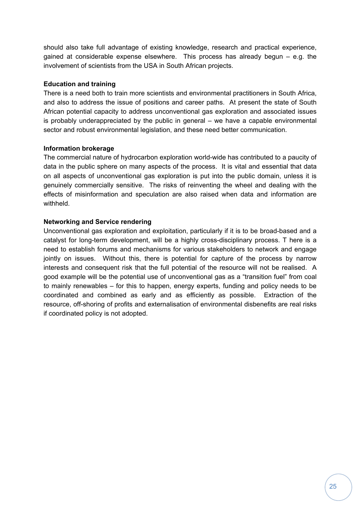should also take full advantage of existing knowledge, research and practical experience, gained at considerable expense elsewhere. This process has already begun – e.g. the involvement of scientists from the USA in South African projects.

### **Education and training**

There is a need both to train more scientists and environmental practitioners in South Africa, and also to address the issue of positions and career paths. At present the state of South African potential capacity to address unconventional gas exploration and associated issues is probably underappreciated by the public in general – we have a capable environmental sector and robust environmental legislation, and these need better communication.

### **Information brokerage**

The commercial nature of hydrocarbon exploration world-wide has contributed to a paucity of data in the public sphere on many aspects of the process. It is vital and essential that data on all aspects of unconventional gas exploration is put into the public domain, unless it is genuinely commercially sensitive. The risks of reinventing the wheel and dealing with the effects of misinformation and speculation are also raised when data and information are withheld.

### **Networking and Service rendering**

Unconventional gas exploration and exploitation, particularly if it is to be broad-based and a catalyst for long-term development, will be a highly cross-disciplinary process. T here is a need to establish forums and mechanisms for various stakeholders to network and engage jointly on issues. Without this, there is potential for capture of the process by narrow interests and consequent risk that the full potential of the resource will not be realised. A good example will be the potential use of unconventional gas as a "transition fuel" from coal to mainly renewables – for this to happen, energy experts, funding and policy needs to be coordinated and combined as early and as efficiently as possible. Extraction of the resource, off-shoring of profits and externalisation of environmental disbenefits are real risks if coordinated policy is not adopted.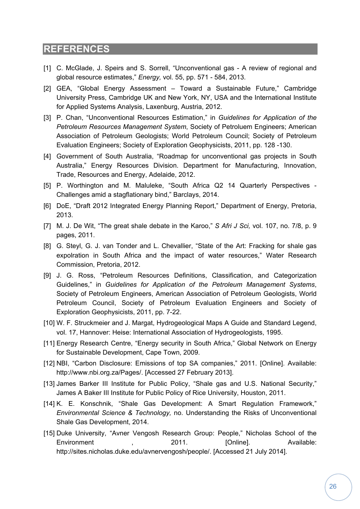# **REFERENCES**

- [1] C. McGlade, J. Speirs and S. Sorrell, "Unconventional gas A review of regional and global resource estimates," *Energy,* vol. 55, pp. 571 - 584, 2013.
- [2] GEA, "Global Energy Assessment Toward a Sustainable Future," Cambridge University Press, Cambridge UK and New York, NY, USA and the International Institute for Applied Systems Analysis, Laxenburg, Austria, 2012.
- [3] P. Chan, "Unconventional Resources Estimation," in *Guidelines for Application of the Petroleum Resources Management System*, Society of Petroluem Engineers; American Association of Petroleum Geologists; World Petroleum Council; Society of Petroleum Evaluation Engineers; Society of Exploration Geophysicists, 2011, pp. 128 -130.
- [4] Government of South Australia, "Roadmap for unconventional gas projects in South Australia," Energy Resources Division. Department for Manufacturing, Innovation, Trade, Resources and Energy, Adelaide, 2012.
- [5] P. Worthington and M. Maluleke, "South Africa Q2 14 Quarterly Perspectives Challenges amid a stagflationary bind," Barclays, 2014.
- [6] DoE, "Draft 2012 Integrated Energy Planning Report," Department of Energy, Pretoria, 2013.
- [7] M. J. De Wit, "The great shale debate in the Karoo," *S Afri J Sci,* vol. 107, no. 7/8, p. 9 pages, 2011.
- [8] G. Steyl, G. J. van Tonder and L. Chevallier, "State of the Art: Fracking for shale gas expolration in South Africa and the impact of water resources," Water Research Commission, Pretoria, 2012.
- [9] J. G. Ross, "Petroleum Resources Definitions, Classification, and Categorization Guidelines," in *Guidelines for Application of the Petroleum Management Systems*, Society of Petroleum Engineers, American Association of Petroleum Geologists, World Petroleum Council, Society of Petroleum Evaluation Engineers and Society of Exploration Geophysicists, 2011, pp. 7-22.
- [10] W. F. Struckmeier and J. Margat, Hydrogeological Maps A Guide and Standard Legend, vol. 17, Hannover: Heise: International Association of Hydrogeologists, 1995.
- [11] Energy Research Centre, "Energy security in South Africa," Global Network on Energy for Sustainable Development, Cape Town, 2009.
- [12] NBI, "Carbon Disclosure: Emissions of top SA companies," 2011. [Online]. Available: http://www.nbi.org.za/Pages/. [Accessed 27 February 2013].
- [13] James Barker III Institute for Public Policy, "Shale gas and U.S. National Security," James A Baker III Institute for Public Policy of Rice University, Houston, 2011.
- [14] K. E. Konschnik, "Shale Gas Development: A Smart Regulation Framework," *Environmental Science & Technology,* no. Understanding the Risks of Unconventional Shale Gas Development, 2014.
- [15] Duke University, "Avner Vengosh Research Group: People," Nicholas School of the Environment (a) the contract of the 2011. [Online]. Available: http://sites.nicholas.duke.edu/avnervengosh/people/. [Accessed 21 July 2014].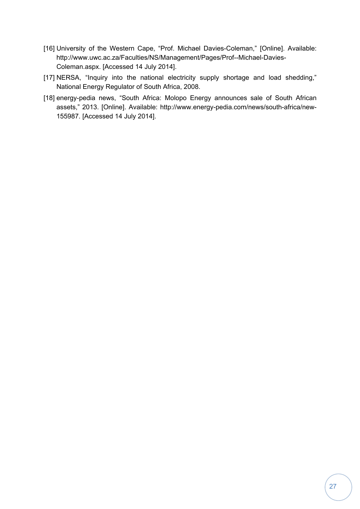- [16] University of the Western Cape, "Prof. Michael Davies-Coleman," [Online]. Available: http://www.uwc.ac.za/Faculties/NS/Management/Pages/Prof--Michael-Davies-Coleman.aspx. [Accessed 14 July 2014].
- [17] NERSA, "Inquiry into the national electricity supply shortage and load shedding," National Energy Regulator of South Africa, 2008.
- [18] energy-pedia news, "South Africa: Molopo Energy announces sale of South African assets," 2013. [Online]. Available: http://www.energy-pedia.com/news/south-africa/new-155987. [Accessed 14 July 2014].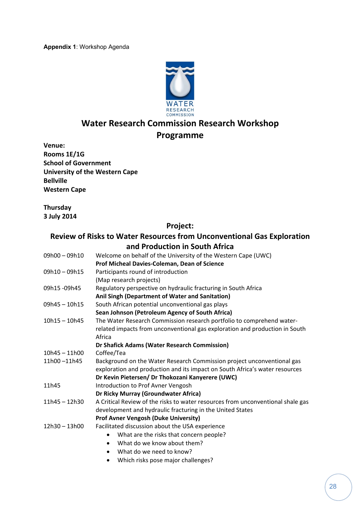

# **Water Research Commission Research Workshop Programme**

**Venue: Rooms 1E/1G School of Government University of the Western Cape Bellville Western Cape**

**Thursday 3 July 2014**

## **Project:**

## **Review of Risks to Water Resources from Unconventional Gas Exploration and Production in South Africa**

| 09h00 - 09h10   | Welcome on behalf of the University of the Western Cape (UWC)                   |
|-----------------|---------------------------------------------------------------------------------|
|                 | Prof Micheal Davies-Coleman, Dean of Science                                    |
| $09h10 - 09h15$ | Participants round of introduction                                              |
|                 | (Map research projects)                                                         |
| 09h15-09h45     | Regulatory perspective on hydraulic fracturing in South Africa                  |
|                 | Anil Singh (Department of Water and Sanitation)                                 |
| $09h45 - 10h15$ | South African potential unconventional gas plays                                |
|                 | Sean Johnson (Petroleum Agency of South Africa)                                 |
| $10h15 - 10h45$ | The Water Research Commission research portfolio to comprehend water-           |
|                 | related impacts from unconventional gas exploration and production in South     |
|                 | Africa                                                                          |
|                 | Dr Shafick Adams (Water Research Commission)                                    |
| $10h45 - 11h00$ | Coffee/Tea                                                                      |
| 11h00-11h45     | Background on the Water Research Commission project unconventional gas          |
|                 | exploration and production and its impact on South Africa's water resources     |
|                 | Dr Kevin Pietersen/ Dr Thokozani Kanyerere (UWC)                                |
| 11h45           | Introduction to Prof Avner Vengosh                                              |
|                 | Dr Ricky Murray (Groundwater Africa)                                            |
| $11h45 - 12h30$ | A Critical Review of the risks to water resources from unconventional shale gas |
|                 | development and hydraulic fracturing in the United States                       |
|                 | <b>Prof Avner Vengosh (Duke University)</b>                                     |
| $12h30 - 13h00$ | Facilitated discussion about the USA experience                                 |
|                 | What are the risks that concern people?<br>$\bullet$                            |
|                 | What do we know about them?<br>$\bullet$                                        |
|                 | What do we need to know?<br>$\bullet$                                           |

Which risks pose major challenges?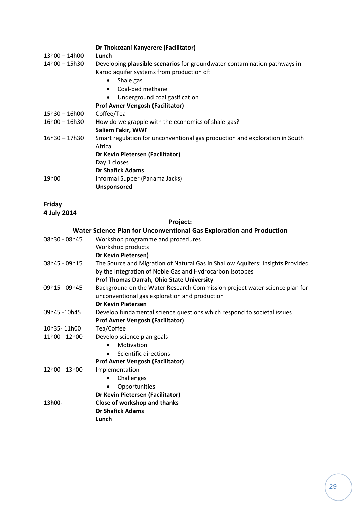|                 | Dr Thokozani Kanyerere (Facilitator)                                                                                  |  |  |
|-----------------|-----------------------------------------------------------------------------------------------------------------------|--|--|
| 13h00 - 14h00   | Lunch                                                                                                                 |  |  |
| 14h00 - 15h30   | Developing plausible scenarios for groundwater contamination pathways in<br>Karoo aquifer systems from production of: |  |  |
|                 | Shale gas<br>$\bullet$                                                                                                |  |  |
|                 | Coal-bed methane<br>$\bullet$                                                                                         |  |  |
|                 | Underground coal gasification<br>$\bullet$                                                                            |  |  |
|                 | <b>Prof Avner Vengosh (Facilitator)</b>                                                                               |  |  |
| 15h30 - 16h00   | Coffee/Tea                                                                                                            |  |  |
| 16h00 - 16h30   | How do we grapple with the economics of shale-gas?                                                                    |  |  |
|                 | Saliem Fakir, WWF                                                                                                     |  |  |
| $16h30 - 17h30$ | Smart regulation for unconventional gas production and exploration in South<br>Africa                                 |  |  |
|                 | Dr Kevin Pietersen (Facilitator)                                                                                      |  |  |
|                 | Day 1 closes                                                                                                          |  |  |
|                 | <b>Dr Shafick Adams</b>                                                                                               |  |  |
| 19h00           | Informal Supper (Panama Jacks)                                                                                        |  |  |
|                 | Unsponsored                                                                                                           |  |  |
|                 |                                                                                                                       |  |  |

# **Friday**

**4 July 2014**

## **Project:**

|               | Water Science Plan for Unconventional Gas Exploration and Production                                                        |
|---------------|-----------------------------------------------------------------------------------------------------------------------------|
| 08h30 - 08h45 | Workshop programme and procedures                                                                                           |
|               | Workshop products                                                                                                           |
|               | Dr Kevin Pietersen)                                                                                                         |
| 08h45 - 09h15 | The Source and Migration of Natural Gas in Shallow Aquifers: Insights Provided                                              |
|               | by the Integration of Noble Gas and Hydrocarbon Isotopes                                                                    |
|               | Prof Thomas Darrah, Ohio State University                                                                                   |
| 09h15 - 09h45 | Background on the Water Research Commission project water science plan for<br>unconventional gas exploration and production |
|               | <b>Dr Kevin Pietersen</b>                                                                                                   |
| 09h45-10h45   | Develop fundamental science questions which respond to societal issues                                                      |
|               | <b>Prof Avner Vengosh (Facilitator)</b>                                                                                     |
| 10h35-11h00   | Tea/Coffee                                                                                                                  |
| 11h00 - 12h00 | Develop science plan goals                                                                                                  |
|               | Motivation<br>$\bullet$                                                                                                     |
|               | Scientific directions<br>$\bullet$                                                                                          |
|               | <b>Prof Avner Vengosh (Facilitator)</b>                                                                                     |
| 12h00 - 13h00 | Implementation                                                                                                              |
|               | Challenges<br>٠                                                                                                             |
|               | Opportunities                                                                                                               |
|               | Dr Kevin Pietersen (Facilitator)                                                                                            |
| 13h00-        | Close of workshop and thanks                                                                                                |
|               | <b>Dr Shafick Adams</b>                                                                                                     |
|               | Lunch                                                                                                                       |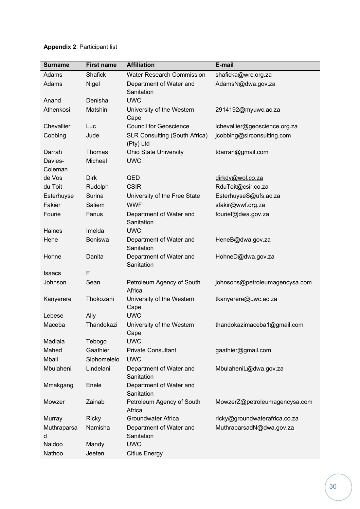| <b>Surname</b> | <b>First name</b> | <b>Affiliation</b>                                | E-mail                         |
|----------------|-------------------|---------------------------------------------------|--------------------------------|
| Adams          | <b>Shafick</b>    | <b>Water Research Commission</b>                  | shaficka@wrc.org.za            |
| Adams          | Nigel             | Department of Water and                           | AdamsN@dwa.gov.za              |
|                |                   | Sanitation                                        |                                |
| Anand          | Denisha           | <b>UWC</b>                                        |                                |
| Athenkosi      | Matshini          | University of the Western                         | 2914192@myuwc.ac.za            |
|                |                   | Cape                                              |                                |
| Chevallier     | Luc               | <b>Council for Geoscience</b>                     | Ichevallier@geoscience.org.za  |
| Cobbing        | Jude              | <b>SLR Consulting (South Africa)</b><br>(Pty) Ltd | jcobbing@slrconsulting.com     |
| Darrah         | Thomas            | <b>Ohio State University</b>                      | tdarrah@gmail.com              |
| Davies-        | Micheal           | <b>UWC</b>                                        |                                |
| Coleman        |                   |                                                   |                                |
| de Vos         | <b>Dirk</b>       | QED                                               | dirkdv@wol.co.za               |
| du Toit        | Rudolph           | <b>CSIR</b>                                       | RduToit@csir.co.za             |
| Esterhuyse     | Surina            | University of the Free State                      | EsterhuyseS@ufs.ac.za          |
| Fakier         | Saliem            | <b>WWF</b>                                        | sfakir@wwf.org.za              |
| Fourie         | Fanus             | Department of Water and<br>Sanitation             | fourief@dwa.gov.za             |
| Haines         | Imelda            | <b>UWC</b>                                        |                                |
| Hene           | <b>Boniswa</b>    | Department of Water and<br>Sanitation             | HeneB@dwa.gov.za               |
| Hohne          | Danita            | Department of Water and<br>Sanitation             | HohneD@dwa.gov.za              |
| <b>Isaacs</b>  | F                 |                                                   |                                |
| Johnson        | Sean              | Petroleum Agency of South<br>Africa               | johnsons@petroleumagencysa.com |
| Kanyerere      | Thokozani         | University of the Western<br>Cape                 | tkanyerere@uwc.ac.za           |
| Lebese         | Ally              | <b>UWC</b>                                        |                                |
| Maceba         | Thandokazi        | University of the Western                         | thandokazimaceba1@gmail.com    |
|                |                   | Cape                                              |                                |
| Madlala        | Tebogo            | <b>UWC</b>                                        |                                |
| Mahed          | Gaathier          | <b>Private Consultant</b>                         | gaathier@gmail.com             |
| Mbali          | Siphomelelo       | <b>UWC</b>                                        |                                |
| Mbulaheni      | Lindelani         | Department of Water and<br>Sanitation             | MbulaheniL@dwa.gov.za          |
| Mmakgang       | Enele             | Department of Water and<br>Sanitation             |                                |
| Mowzer         | Zainab            | Petroleum Agency of South<br>Africa               | MowzerZ@petroleumagencysa.com  |
| Murray         | <b>Ricky</b>      | Groundwater Africa                                | ricky@groundwaterafrica.co.za  |
| Muthraparsa    | Namisha           | Department of Water and                           | MuthraparsadN@dwa.gov.za       |
| d              |                   | Sanitation                                        |                                |
| Naidoo         | Mandy             | <b>UWC</b>                                        |                                |
| Nathoo         | Jeeten            | <b>Citius Energy</b>                              |                                |

### **Appendix 2**: Participant list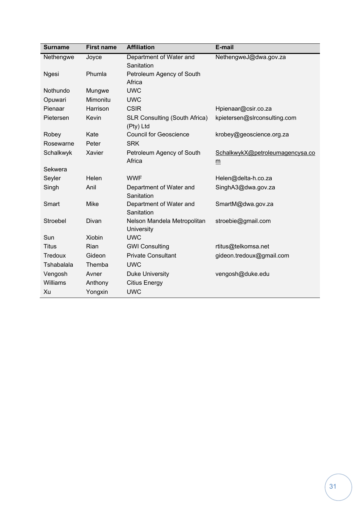| <b>Surname</b> | <b>First name</b> | <b>Affiliation</b>                               | E-mail                          |
|----------------|-------------------|--------------------------------------------------|---------------------------------|
| Nethengwe      | Joyce             | Department of Water and                          | NethengweJ@dwa.gov.za           |
|                |                   | Sanitation                                       |                                 |
| <b>Ngesi</b>   | Phumla            | Petroleum Agency of South                        |                                 |
|                |                   | Africa                                           |                                 |
| Nothundo       | Mungwe            | <b>UWC</b>                                       |                                 |
| Opuwari        | Mimonitu          | <b>UWC</b>                                       |                                 |
| Pienaar        | Harrison          | <b>CSIR</b>                                      | Hpienaar@csir.co.za             |
| Pietersen      | Kevin             | SLR Consulting (South Africa)<br>(Pty) Ltd       | kpietersen@slrconsulting.com    |
| Robey          | Kate              | <b>Council for Geoscience</b>                    | krobey@geoscience.org.za        |
| Rosewarne      | Peter             | <b>SRK</b>                                       |                                 |
| Schalkwyk      | Xavier            | Petroleum Agency of South                        | SchalkwykX@petroleumagencysa.co |
|                |                   | Africa                                           | m                               |
| Sekwera        |                   |                                                  |                                 |
| Seyler         | Helen             | <b>WWF</b>                                       | Helen@delta-h.co.za             |
| Singh          | Anil              | Department of Water and<br>Sanitation            | SinghA3@dwa.gov.za              |
| Smart          | <b>Mike</b>       | Department of Water and<br>Sanitation            | SmartM@dwa.gov.za               |
| Stroebel       | Divan             | Nelson Mandela Metropolitan<br><b>University</b> | stroebie@gmail.com              |
| Sun            | <b>Xiobin</b>     | <b>UWC</b>                                       |                                 |
| <b>Titus</b>   | Rian              | <b>GWI Consulting</b>                            | rtitus@telkomsa.net             |
| Tredoux        | Gideon            | <b>Private Consultant</b>                        | gideon.tredoux@gmail.com        |
| Tshabalala     | Themba            | <b>UWC</b>                                       |                                 |
| Vengosh        | Avner             | <b>Duke University</b>                           | vengosh@duke.edu                |
| Williams       | Anthony           | <b>Citius Energy</b>                             |                                 |
| Xu             | Yongxin           | <b>UWC</b>                                       |                                 |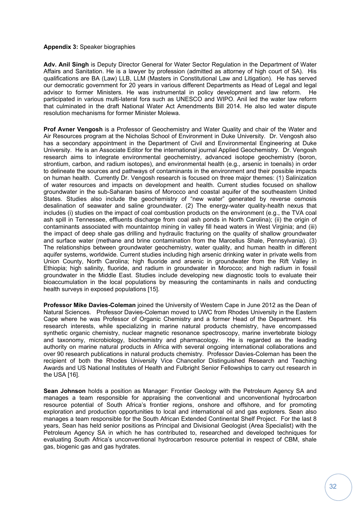#### **Appendix 3:** Speaker biographies

**Adv. Anil Singh** is Deputy Director General for Water Sector Regulation in the Department of Water Affairs and Sanitation. He is a lawyer by profession (admitted as attorney of high court of SA). His qualifications are BA (Law) LLB, LLM (Masters in Constitutional Law and Litigation). He has served our democratic government for 20 years in various different Departments as Head of Legal and legal advisor to former Ministers. He was instrumental in policy development and law reform. He participated in various multi-lateral fora such as UNESCO and WIPO. Anil led the water law reform that culminated in the draft National Water Act Amendments Bill 2014. He also led water dispute resolution mechanisms for former Minister Molewa.

**Prof Avner Vengosh** is a Professor of Geochemistry and Water Quality and chair of the Water and Air Resources program at the Nicholas School of Environment in Duke University. Dr. Vengosh also has a secondary appointment in the Department of Civil and Environmental Engineering at Duke University. He is an Associate Editor for the international journal Applied Geochemistry. Dr. Vengosh research aims to integrate environmental geochemistry, advanced isotope geochemistry (boron, strontium, carbon, and radium isotopes), and environmental health (e.g., arsenic in toenails) in order to delineate the sources and pathways of contaminants in the environment and their possible impacts on human health. Currently Dr. Vengosh research is focused on three major themes: (1) Salinization of water resources and impacts on development and health. Current studies focused on shallow groundwater in the sub-Saharan basins of Morocco and coastal aquifer of the southeastern United States. Studies also include the geochemistry of "new water" generated by reverse osmosis desalination of seawater and saline groundwater. (2) The energy-water quality-health nexus that includes (i) studies on the impact of coal combustion products on the environment (e.g., the TVA coal ash spill in Tennessee, effluents discharge from coal ash ponds in North Carolina); (ii) the origin of contaminants associated with mountaintop mining in valley fill head waters in West Virginia; and (iii) the impact of deep shale gas drilling and hydraulic fracturing on the quality of shallow groundwater and surface water (methane and brine contamination from the Marcellus Shale, Pennsylvania). (3) The relationships between groundwater geochemistry, water quality, and human health in different aquifer systems, worldwide. Current studies including high arsenic drinking water in private wells from Union County, North Carolina; high fluoride and arsenic in groundwater from the Rift Valley in Ethiopia; high salinity, fluoride, and radium in groundwater in Morocco; and high radium in fossil groundwater in the Middle East. Studies include developing new diagnostic tools to evaluate their bioaccumulation in the local populations by measuring the contaminants in nails and conducting health surveys in exposed populations [15].

**Professor Mike Davies-Coleman** joined the University of Western Cape in June 2012 as the Dean of Natural Sciences. Professor Davies-Coleman moved to UWC from Rhodes University in the Eastern Cape where he was Professor of Organic Chemistry and a former Head of the Department. His research interests, while specializing in marine natural products chemistry, have encompassed synthetic organic chemistry, nuclear magnetic resonance spectroscopy, marine invertebrate biology and taxonomy, microbiology, biochemistry and pharmacology. He is regarded as the leading authority on marine natural products in Africa with several ongoing international collaborations and over 90 research publications in natural products chemistry. Professor Davies-Coleman has been the recipient of both the Rhodes University Vice Chancellor Distinguished Research and Teaching Awards and US National Institutes of Health and Fulbright Senior Fellowships to carry out research in the USA [16].

**Sean Johnson** holds a position as Manager: Frontier Geology with the Petroleum Agency SA and manages a team responsible for appraising the conventional and unconventional hydrocarbon resource potential of South Africa's frontier regions, onshore and offshore, and for promoting exploration and production opportunities to local and international oil and gas explorers. Sean also manages a team responsible for the South African Extended Continental Shelf Project. For the last 8 years, Sean has held senior positions as Principal and Divisional Geologist (Area Specialist) with the Petroleum Agency SA in which he has contributed to, researched and developed techniques for evaluating South Africa's unconventional hydrocarbon resource potential in respect of CBM, shale gas, biogenic gas and gas hydrates.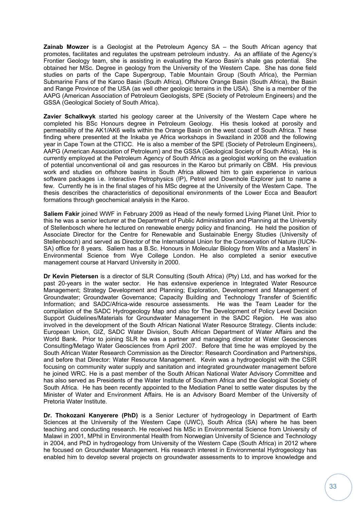**Zainab Mowzer** is a Geologist at the Petroleum Agency SA – the South African agency that promotes, facilitates and regulates the upstream petroleum industry. As an affiliate of the Agency's Frontier Geology team, she is assisting in evaluating the Karoo Basin's shale gas potential. She obtained her MSc. Degree in geology from the University of the Western Cape. She has done field studies on parts of the Cape Supergroup, Table Mountain Group (South Africa), the Permian Submarine Fans of the Karoo Basin (South Africa), Offshore Orange Basin (South Africa), the Basin and Range Province of the USA (as well other geologic terrains in the USA). She is a member of the AAPG (American Association of Petroleum Geologists, SPE (Society of Petroleum Engineers) and the GSSA (Geological Society of South Africa).

**Zavier Schalkwyk** started his geology career at the University of the Western Cape where he completed his BSc Honours degree in Petroleum Geology. His thesis looked at porosity and permeability of the AK1/AK6 wells within the Orange Basin on the west coast of South Africa. T hese finding where presented at the Inkaba ye Africa workshops in Swaziland in 2008 and the following year in Cape Town at the CTICC. He is also a member of the SPE (Society of Petroleum Engineers), AAPG (American Association of Petroleum) and the GSSA (Geological Society of South Africa). He is currently employed at the Petroleum Agency of South Africa as a geologist working on the evaluation of potential unconventional oil and gas resources in the Karoo but primarily on CBM. His previous work and studies on offshore basins in South Africa allowed him to gain experience in various software packages i.e. Interactive Petrophysics (IP), Petrel and Downhole Explorer just to name a few. Currently he is in the final stages of his MSc degree at the University of the Western Cape. The thesis describes the characteristics of depositional environments of the Lower Ecca and Beaufort formations through geochemical analysis in the Karoo.

**Saliem Fakir** joined WWF in February 2009 as Head of the newly formed Living Planet Unit. Prior to this he was a senior lecturer at the Department of Public Administration and Planning at the University of Stellenbosch where he lectured on renewable energy policy and financing. He held the position of Associate Director for the Centre for Renewable and Sustainable Energy Studies (University of Stellenbosch) and served as Director of the International Union for the Conservation of Nature (IUCN-SA) office for 8 years. Saliem has a B.Sc. Honours in Molecular Biology from Wits and a Masters' in Environmental Science from Wye College London. He also completed a senior executive management course at Harvard University in 2000.

**Dr Kevin Pietersen** is a director of SLR Consulting (South Africa) (Pty) Ltd, and has worked for the past 20-years in the water sector. He has extensive experience in Integrated Water Resource Management; Strategy Development and Planning; Exploration, Development and Management of Groundwater; Groundwater Governance; Capacity Building and Technology Transfer of Scientific Information; and SADC/Africa-wide resource assessments. He was the Team Leader for the compilation of the SADC Hydrogeology Map and also for The Development of Policy Level Decision Support Guidelines/Materials for Groundwater Management in the SADC Region. He was also involved in the development of the South African National Water Resource Strategy. Clients include: European Union, GIZ, SADC Water Division, South African Department of Water Affairs and the World Bank. Prior to joining SLR he was a partner and managing director at Water Geosciences Consulting/Metago Water Geosciences from April 2007. Before that time he was employed by the South African Water Research Commission as the Director: Research Coordination and Partnerships, and before that Director: Water Resource Management. Kevin was a hydrogeologist with the CSIR focusing on community water supply and sanitation and integrated groundwater management before he joined WRC. He is a past member of the South African National Water Advisory Committee and has also served as Presidents of the Water Institute of Southern Africa and the Geological Society of South Africa. He has been recently appointed to the Mediation Panel to settle water disputes by the Minister of Water and Environment Affairs. He is an Advisory Board Member of the University of Pretoria Water Institute.

**Dr. Thokozani Kanyerere (PhD)** is a Senior Lecturer of hydrogeology in Department of Earth Sciences at the University of the Western Cape (UWC), South Africa (SA) where he has been teaching and conducting research. He received his MSc in Environmental Science from University of Malawi in 2001, MPhil in Environmental Health from Norwegian University of Science and Technology in 2004, and PhD in hydrogeology from University of the Western Cape (South Africa) in 2012 where he focused on Groundwater Management. His research interest in Environmental Hydrogeology has enabled him to develop several projects on groundwater assessments to to improve knowledge and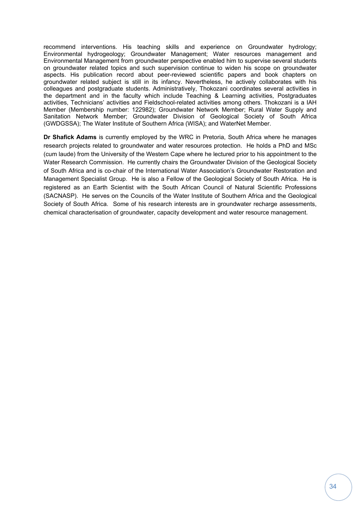recommend interventions. His teaching skills and experience on Groundwater hydrology; Environmental hydrogeology; Groundwater Management; Water resources management and Environmental Management from groundwater perspective enabled him to supervise several students on groundwater related topics and such supervision continue to widen his scope on groundwater aspects. His publication record about peer-reviewed scientific papers and book chapters on groundwater related subject is still in its infancy. Nevertheless, he actively collaborates with his colleagues and postgraduate students. Administratively, Thokozani coordinates several activities in the department and in the faculty which include Teaching & Learning activities, Postgraduates activities, Technicians' activities and Fieldschool-related activities among others. Thokozani is a IAH Member (Membership number: 122982); Groundwater Network Member; Rural Water Supply and Sanitation Network Member; Groundwater Division of Geological Society of South Africa (GWDGSSA); The Water Institute of Southern Africa (WISA); and WaterNet Member.

**Dr Shafick Adams** is currently employed by the WRC in Pretoria, South Africa where he manages research projects related to groundwater and water resources protection. He holds a PhD and MSc (cum laude) from the University of the Western Cape where he lectured prior to his appointment to the Water Research Commission. He currently chairs the Groundwater Division of the Geological Society of South Africa and is co-chair of the International Water Association's Groundwater Restoration and Management Specialist Group. He is also a Fellow of the Geological Society of South Africa. He is registered as an Earth Scientist with the South African Council of Natural Scientific Professions (SACNASP). He serves on the Councils of the Water Institute of Southern Africa and the Geological Society of South Africa. Some of his research interests are in groundwater recharge assessments, chemical characterisation of groundwater, capacity development and water resource management.